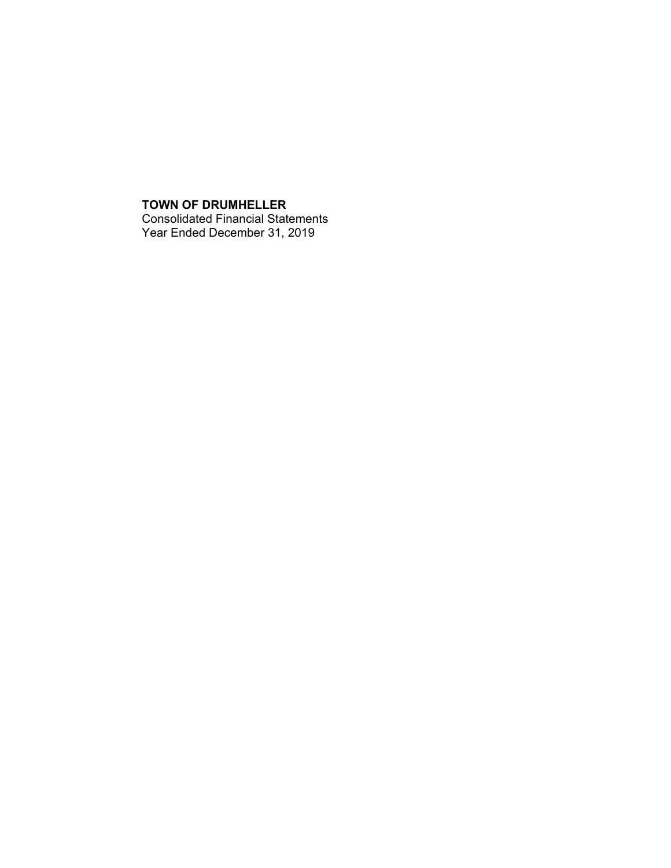## **TOWN OF DRUMHELLER** Consolidated Financial Statements Year Ended December 31, 2019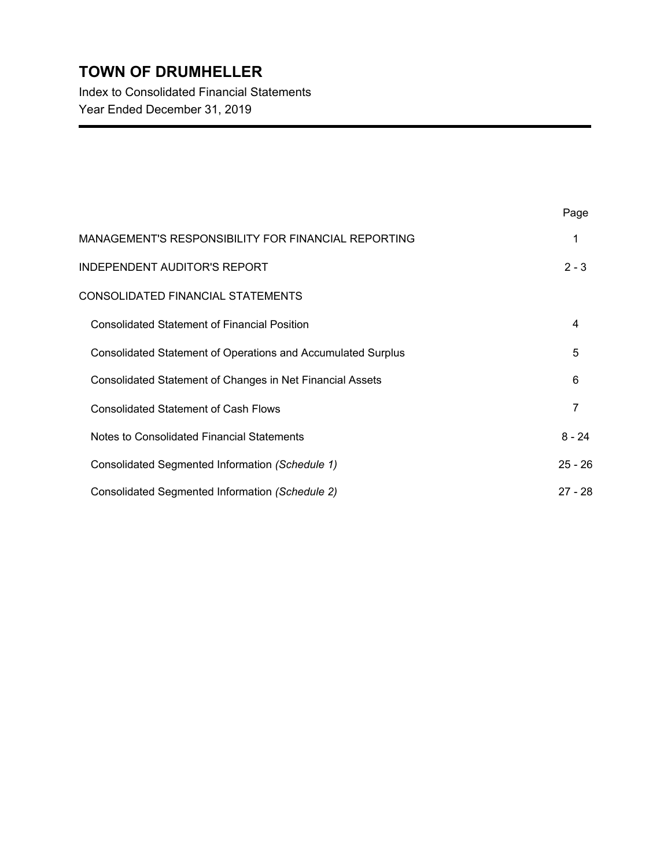Index to Consolidated Financial Statements Year Ended December 31, 2019

|                                                                     | Page      |
|---------------------------------------------------------------------|-----------|
| MANAGEMENT'S RESPONSIBILITY FOR FINANCIAL REPORTING                 | 1         |
| <b>INDEPENDENT AUDITOR'S REPORT</b>                                 | $2 - 3$   |
| CONSOLIDATED FINANCIAL STATEMENTS                                   |           |
| <b>Consolidated Statement of Financial Position</b>                 | 4         |
| <b>Consolidated Statement of Operations and Accumulated Surplus</b> | 5         |
| Consolidated Statement of Changes in Net Financial Assets           | 6         |
| <b>Consolidated Statement of Cash Flows</b>                         | 7         |
| Notes to Consolidated Financial Statements                          | $8 - 24$  |
| Consolidated Segmented Information (Schedule 1)                     | $25 - 26$ |
| Consolidated Segmented Information (Schedule 2)                     | $27 - 28$ |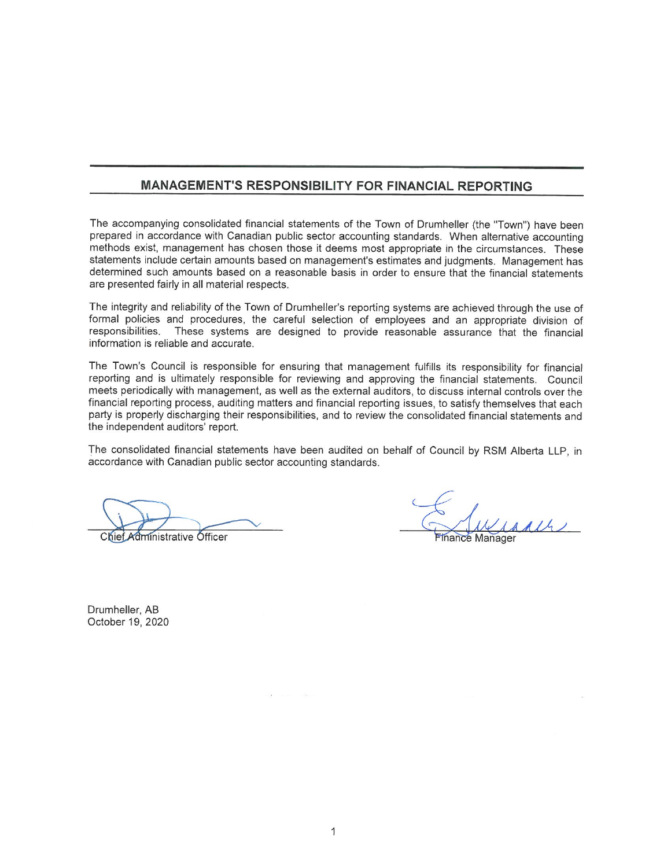## MANAGEMENT'S RESPONSIBILITY FOR FINANCIAL REPORTING

The accompanying consolidated financial statements of the Town of Drumheller (the "Town") have been prepared in accordance with Canadian public sector accounting standards. When alternative accounting methods exist, management has chosen those it deems most appropriate in the circumstances. These statements include certain amounts based on management's estimates and judgments. Management has determined such amounts based on a reasonable basis in order to ensure that the financial statements are presented fairly in all material respects.

The integrity and reliability of the Town of Drumheller's reporting systems are achieved through the use of formal policies and procedures, the careful selection of employees and an appropriate division of responsibilities. These systems are designed to provide reasonable assurance that the financial information is reliable and accurate.

The Town's Council is responsible for ensuring that management fulfills its responsibility for financial reporting and is ultimately responsible for reviewing and approving the financial statements. Council meets periodically with management, as well as the external auditors, to discuss internal controls over the financial reporting process, auditing matters and financial reporting issues, to satisfy themselves that each party is properly discharging their responsibilities, and to review the consolidated financial statements and the independent auditors' report.

The consolidated financial statements have been audited on behalf of Council by RSM Alberta LLP, in accordance with Canadian public sector accounting standards.

Chief Administrative Officer

**Finance Manager** 

Drumheller, AB October 19, 2020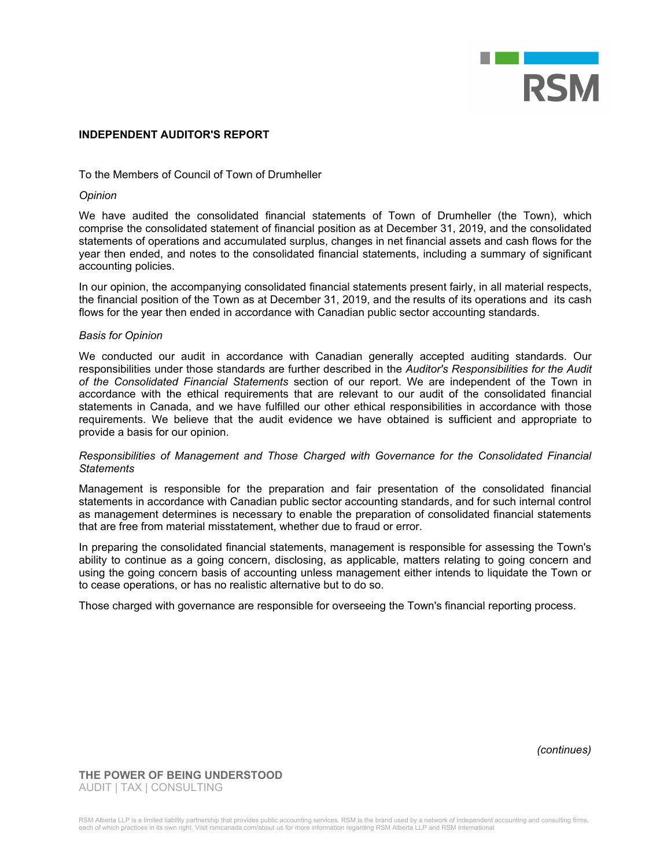

#### **INDEPENDENT AUDITOR'S REPORT**

### To the Members of Council of Town of Drumheller

#### *Opinion*

We have audited the consolidated financial statements of Town of Drumheller (the Town), which comprise the consolidated statement of financial position as at December 31, 2019, and the consolidated statements of operations and accumulated surplus, changes in net financial assets and cash flows for the year then ended, and notes to the consolidated financial statements, including a summary of significant accounting policies.

In our opinion, the accompanying consolidated financial statements present fairly, in all material respects, the financial position of the Town as at December 31, 2019, and the results of its operations and its cash flows for the year then ended in accordance with Canadian public sector accounting standards.

#### *Basis for Opinion*

We conducted our audit in accordance with Canadian generally accepted auditing standards. Our responsibilities under those standards are further described in the *Auditor's Responsibilities for the Audit of the Consolidated Financial Statements* section of our report. We are independent of the Town in accordance with the ethical requirements that are relevant to our audit of the consolidated financial statements in Canada, and we have fulfilled our other ethical responsibilities in accordance with those requirements. We believe that the audit evidence we have obtained is sufficient and appropriate to provide a basis for our opinion.

#### *Responsibilities of Management and Those Charged with Governance for the Consolidated Financial Statements*

Management is responsible for the preparation and fair presentation of the consolidated financial statements in accordance with Canadian public sector accounting standards, and for such internal control as management determines is necessary to enable the preparation of consolidated financial statements that are free from material misstatement, whether due to fraud or error.

In preparing the consolidated financial statements, management is responsible for assessing the Town's ability to continue as a going concern, disclosing, as applicable, matters relating to going concern and using the going concern basis of accounting unless management either intends to liquidate the Town or to cease operations, or has no realistic alternative but to do so.

Those charged with governance are responsible for overseeing the Town's financial reporting process.

*(continues)*

**THE POWER OF BEING UNDERSTOOD** AUDIT | TAX | CONSULTING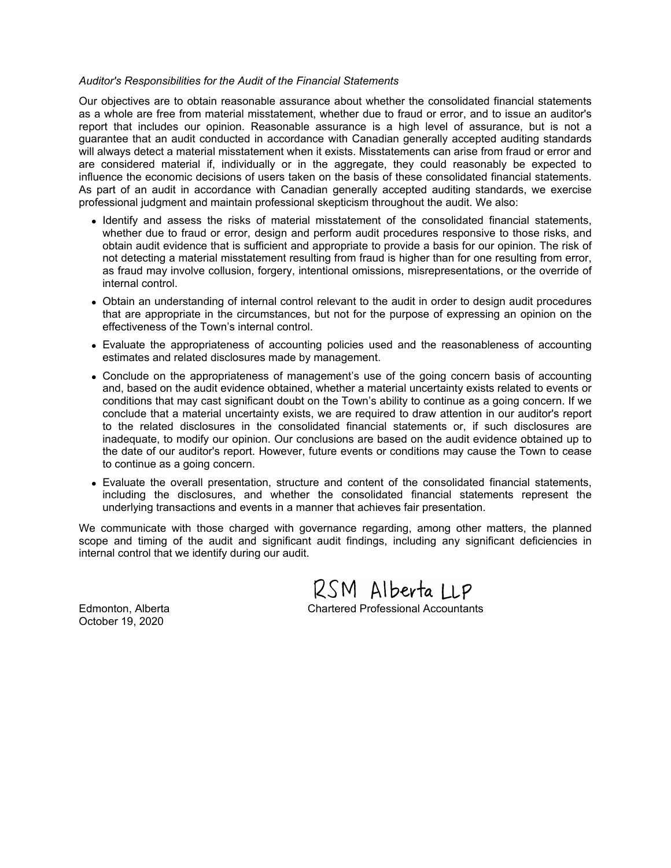#### *Auditor's Responsibilities for the Audit of the Financial Statements*

Our objectives are to obtain reasonable assurance about whether the consolidated financial statements as a whole are free from material misstatement, whether due to fraud or error, and to issue an auditor's report that includes our opinion. Reasonable assurance is a high level of assurance, but is not a guarantee that an audit conducted in accordance with Canadian generally accepted auditing standards will always detect a material misstatement when it exists. Misstatements can arise from fraud or error and are considered material if, individually or in the aggregate, they could reasonably be expected to influence the economic decisions of users taken on the basis of these consolidated financial statements. As part of an audit in accordance with Canadian generally accepted auditing standards, we exercise professional judgment and maintain professional skepticism throughout the audit. We also:

- Identify and assess the risks of material misstatement of the consolidated financial statements, whether due to fraud or error, design and perform audit procedures responsive to those risks, and obtain audit evidence that is sufficient and appropriate to provide a basis for our opinion. The risk of not detecting a material misstatement resulting from fraud is higher than for one resulting from error, as fraud may involve collusion, forgery, intentional omissions, misrepresentations, or the override of internal control.
- Obtain an understanding of internal control relevant to the audit in order to design audit procedures that are appropriate in the circumstances, but not for the purpose of expressing an opinion on the effectiveness of the Town's internal control.
- Evaluate the appropriateness of accounting policies used and the reasonableness of accounting estimates and related disclosures made by management.
- Conclude on the appropriateness of management's use of the going concern basis of accounting and, based on the audit evidence obtained, whether a material uncertainty exists related to events or conditions that may cast significant doubt on the Town's ability to continue as a going concern. If we conclude that a material uncertainty exists, we are required to draw attention in our auditor's report to the related disclosures in the consolidated financial statements or, if such disclosures are inadequate, to modify our opinion. Our conclusions are based on the audit evidence obtained up to the date of our auditor's report. However, future events or conditions may cause the Town to cease to continue as a going concern.
- Evaluate the overall presentation, structure and content of the consolidated financial statements, including the disclosures, and whether the consolidated financial statements represent the underlying transactions and events in a manner that achieves fair presentation.

We communicate with those charged with governance regarding, among other matters, the planned scope and timing of the audit and significant audit findings, including any significant deficiencies in internal control that we identify during our audit.

RSM Alberta LLP Edmonton, Alberta Chartered Professional Accountants

October 19, 2020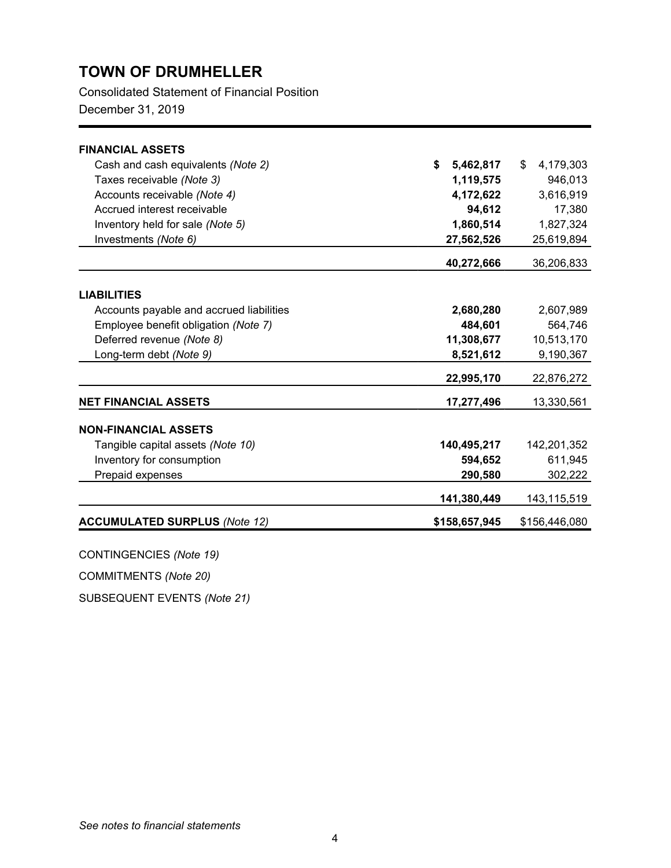Consolidated Statement of Financial Position

December 31, 2019

| \$<br>5,462,817 | \$<br>4,179,303 |
|-----------------|-----------------|
| 1,119,575       | 946,013         |
| 4,172,622       | 3,616,919       |
| 94,612          | 17,380          |
| 1,860,514       | 1,827,324       |
| 27,562,526      | 25,619,894      |
| 40,272,666      | 36,206,833      |
|                 |                 |
|                 |                 |
| 2,680,280       | 2,607,989       |
| 484,601         | 564,746         |
| 11,308,677      | 10,513,170      |
| 8,521,612       | 9,190,367       |
| 22,995,170      | 22,876,272      |
| 17,277,496      | 13,330,561      |
|                 |                 |
| 140,495,217     | 142,201,352     |
| 594,652         | 611,945         |
| 290,580         | 302,222         |
| 141,380,449     | 143,115,519     |
| \$158,657,945   | \$156,446,080   |
|                 |                 |

CONTINGENCIES *(Note 19)*

COMMITMENTS *(Note 20)*

SUBSEQUENT EVENTS *(Note 21)*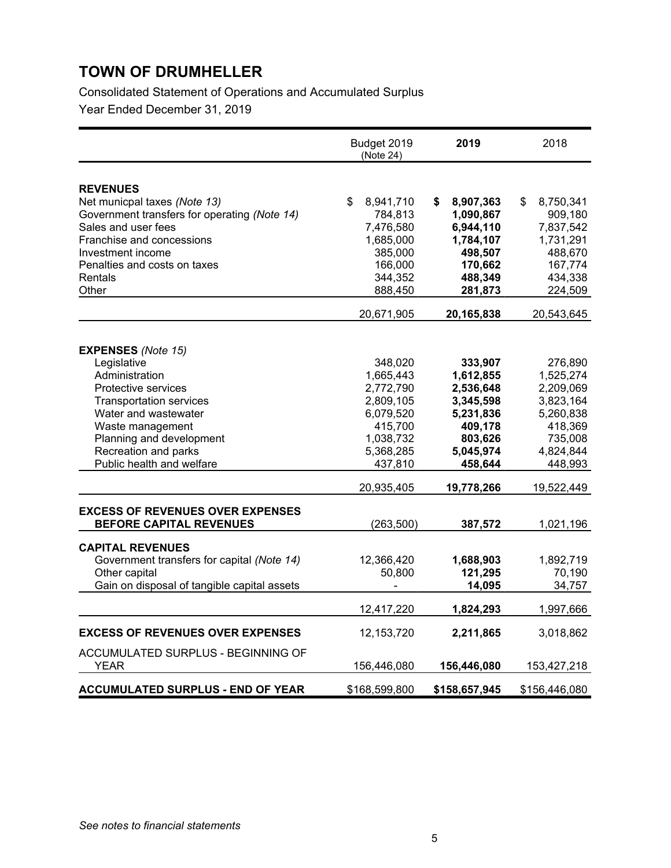Consolidated Statement of Operations and Accumulated Surplus

|                                                                       | Budget 2019<br>(Note 24) | 2019            | 2018            |
|-----------------------------------------------------------------------|--------------------------|-----------------|-----------------|
|                                                                       |                          |                 |                 |
| <b>REVENUES</b><br>Net municpal taxes (Note 13)                       | \$<br>8,941,710          | 8,907,363<br>\$ | \$<br>8,750,341 |
| Government transfers for operating (Note 14)                          | 784,813                  | 1,090,867       | 909,180         |
| Sales and user fees                                                   | 7,476,580                | 6,944,110       | 7,837,542       |
| Franchise and concessions                                             | 1,685,000                | 1,784,107       | 1,731,291       |
| Investment income                                                     | 385,000                  | 498,507         | 488,670         |
| Penalties and costs on taxes                                          | 166,000                  | 170,662         | 167,774         |
| Rentals                                                               | 344,352                  | 488,349         | 434,338         |
| Other                                                                 | 888,450                  | 281,873         | 224,509         |
|                                                                       | 20,671,905               | 20,165,838      | 20,543,645      |
|                                                                       |                          |                 |                 |
| <b>EXPENSES</b> (Note 15)                                             |                          |                 |                 |
| Legislative                                                           | 348,020                  | 333,907         | 276,890         |
| Administration                                                        | 1,665,443                | 1,612,855       | 1,525,274       |
| Protective services                                                   | 2,772,790                | 2,536,648       | 2,209,069       |
| <b>Transportation services</b>                                        | 2,809,105                | 3,345,598       | 3,823,164       |
| Water and wastewater                                                  | 6,079,520                | 5,231,836       | 5,260,838       |
| Waste management                                                      | 415,700                  | 409,178         | 418,369         |
| Planning and development                                              | 1,038,732                | 803,626         | 735,008         |
| Recreation and parks                                                  | 5,368,285                | 5,045,974       | 4,824,844       |
| Public health and welfare                                             | 437,810                  | 458,644         | 448,993         |
|                                                                       | 20,935,405               | 19,778,266      | 19,522,449      |
| <b>EXCESS OF REVENUES OVER EXPENSES</b>                               |                          |                 |                 |
| <b>BEFORE CAPITAL REVENUES</b>                                        | (263, 500)               | 387,572         | 1,021,196       |
|                                                                       |                          |                 |                 |
| <b>CAPITAL REVENUES</b><br>Government transfers for capital (Note 14) | 12,366,420               | 1,688,903       | 1,892,719       |
| Other capital                                                         | 50,800                   | 121,295         | 70,190          |
| Gain on disposal of tangible capital assets                           |                          | 14,095          | 34,757          |
|                                                                       |                          |                 |                 |
|                                                                       | 12,417,220               | 1,824,293       | 1,997,666       |
| <b>EXCESS OF REVENUES OVER EXPENSES</b>                               | 12, 153, 720             | 2,211,865       | 3,018,862       |
| ACCUMULATED SURPLUS - BEGINNING OF                                    |                          |                 |                 |
| <b>YEAR</b>                                                           | 156,446,080              | 156,446,080     | 153,427,218     |
| <b>ACCUMULATED SURPLUS - END OF YEAR</b>                              | \$168,599,800            | \$158,657,945   | \$156,446,080   |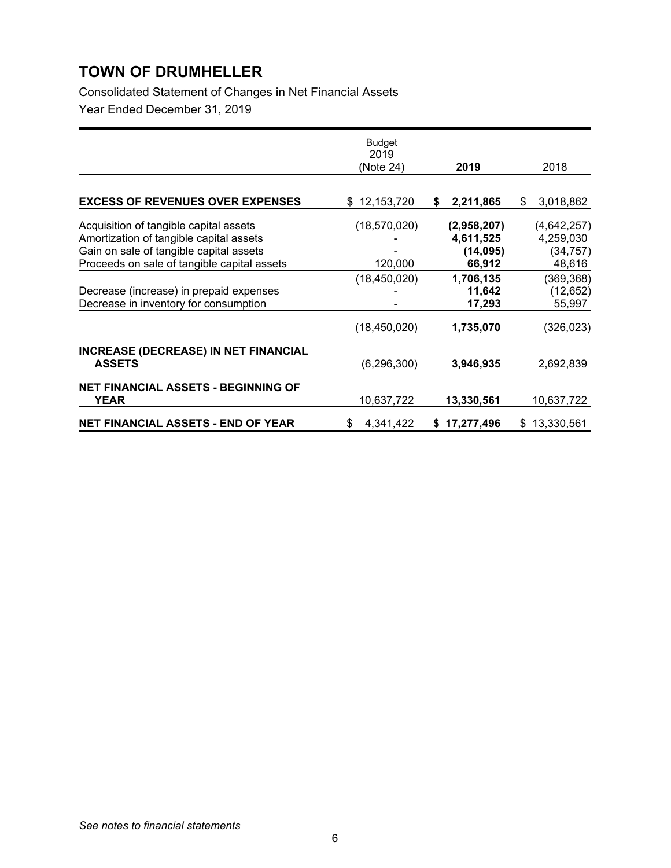Consolidated Statement of Changes in Net Financial Assets

|                                                                                                                                                                             | Budget<br>2019<br>(Note 24) | 2019                                           | 2018                                            |
|-----------------------------------------------------------------------------------------------------------------------------------------------------------------------------|-----------------------------|------------------------------------------------|-------------------------------------------------|
|                                                                                                                                                                             |                             |                                                |                                                 |
| <b>EXCESS OF REVENUES OVER EXPENSES</b>                                                                                                                                     | 12, 153, 720<br>\$          | 2,211,865<br>\$                                | 3,018,862<br>\$                                 |
| Acquisition of tangible capital assets<br>Amortization of tangible capital assets<br>Gain on sale of tangible capital assets<br>Proceeds on sale of tangible capital assets | (18, 570, 020)<br>120,000   | (2,958,207)<br>4,611,525<br>(14,095)<br>66,912 | (4,642,257)<br>4,259,030<br>(34, 757)<br>48,616 |
| Decrease (increase) in prepaid expenses<br>Decrease in inventory for consumption                                                                                            | (18, 450, 020)              | 1,706,135<br>11,642<br>17,293                  | (369, 368)<br>(12, 652)<br>55,997               |
|                                                                                                                                                                             | (18, 450, 020)              | 1,735,070                                      | (326,023)                                       |
| <b>INCREASE (DECREASE) IN NET FINANCIAL</b><br><b>ASSETS</b>                                                                                                                | (6, 296, 300)               | 3,946,935                                      | 2,692,839                                       |
| <b>NET FINANCIAL ASSETS - BEGINNING OF</b><br>YEAR                                                                                                                          | 10,637,722                  | 13,330,561                                     | 10,637,722                                      |
| <b>NET FINANCIAL ASSETS - END OF YEAR</b>                                                                                                                                   | 4,341,422<br>\$             | 17,277,496<br>S.                               | 13,330,561<br>\$                                |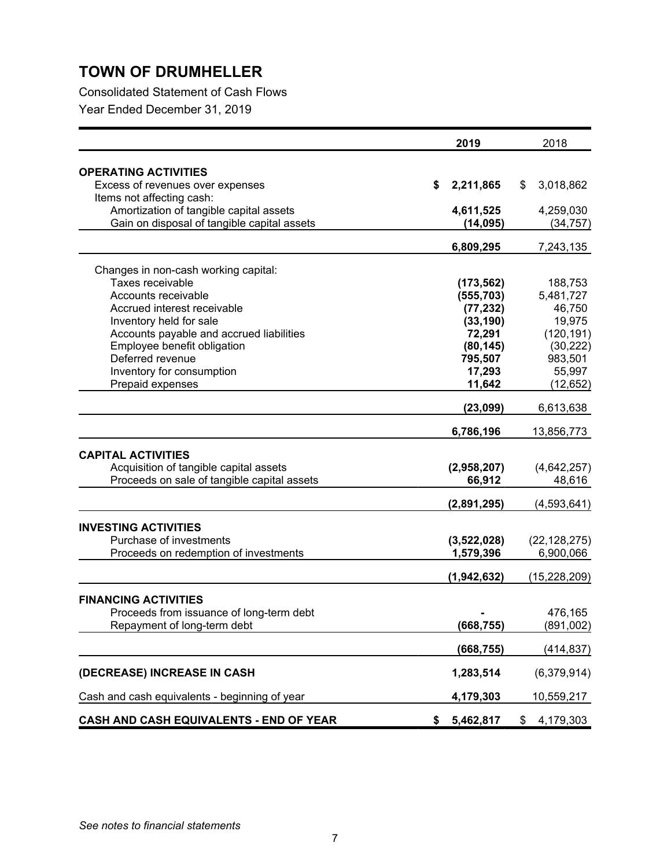Consolidated Statement of Cash Flows

|                                               | 2019            | 2018            |
|-----------------------------------------------|-----------------|-----------------|
| <b>OPERATING ACTIVITIES</b>                   |                 |                 |
| Excess of revenues over expenses              | \$<br>2,211,865 | \$<br>3,018,862 |
| Items not affecting cash:                     |                 |                 |
| Amortization of tangible capital assets       | 4,611,525       | 4,259,030       |
| Gain on disposal of tangible capital assets   | (14, 095)       | (34, 757)       |
|                                               |                 |                 |
|                                               | 6,809,295       | 7,243,135       |
| Changes in non-cash working capital:          |                 |                 |
| Taxes receivable                              | (173, 562)      | 188,753         |
| Accounts receivable                           | (555, 703)      | 5,481,727       |
| Accrued interest receivable                   | (77, 232)       | 46,750          |
| Inventory held for sale                       | (33, 190)       | 19,975          |
| Accounts payable and accrued liabilities      | 72,291          | (120, 191)      |
| Employee benefit obligation                   | (80, 145)       | (30, 222)       |
| Deferred revenue                              | 795,507         | 983,501         |
| Inventory for consumption                     | 17,293          | 55,997          |
| Prepaid expenses                              | 11,642          | (12, 652)       |
|                                               | (23,099)        | 6,613,638       |
|                                               | 6,786,196       | 13,856,773      |
|                                               |                 |                 |
| <b>CAPITAL ACTIVITIES</b>                     |                 |                 |
| Acquisition of tangible capital assets        | (2,958,207)     | (4,642,257)     |
| Proceeds on sale of tangible capital assets   | 66,912          | 48,616          |
|                                               | (2,891,295)     | (4,593,641)     |
| <b>INVESTING ACTIVITIES</b>                   |                 |                 |
| Purchase of investments                       | (3,522,028)     | (22, 128, 275)  |
| Proceeds on redemption of investments         | 1,579,396       | 6,900,066       |
|                                               |                 |                 |
|                                               | (1,942,632)     | (15, 228, 209)  |
| <b>FINANCING ACTIVITIES</b>                   |                 |                 |
| Proceeds from issuance of long-term debt      |                 | 476,165         |
| Repayment of long-term debt                   | (668, 755)      | (891,002)       |
|                                               |                 |                 |
|                                               | (668, 755)      | (414, 837)      |
| (DECREASE) INCREASE IN CASH                   | 1,283,514       | (6,379,914)     |
| Cash and cash equivalents - beginning of year | 4,179,303       | 10,559,217      |
| CASH AND CASH EQUIVALENTS - END OF YEAR       | \$<br>5,462,817 | \$<br>4,179,303 |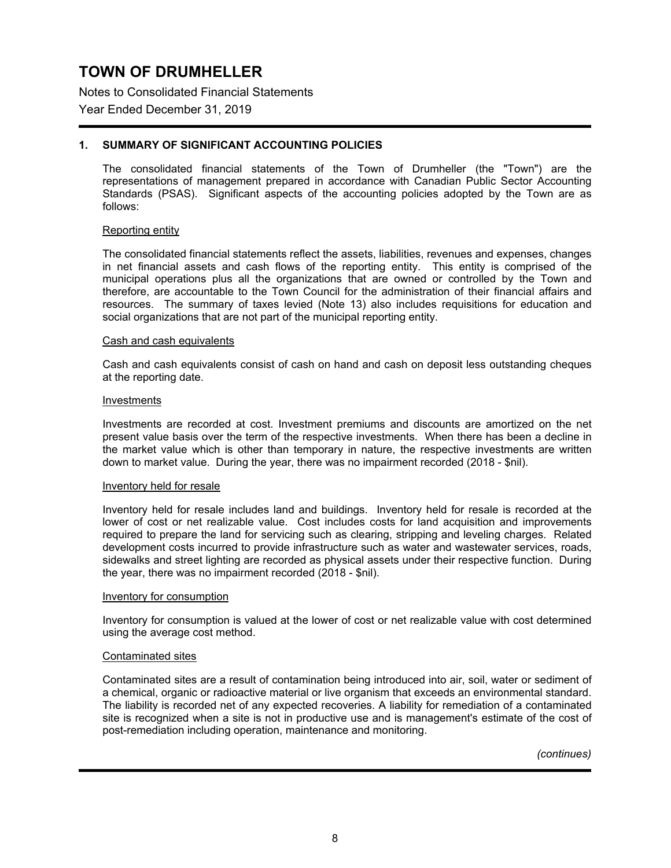Notes to Consolidated Financial Statements

### Year Ended December 31, 2019

### **1. SUMMARY OF SIGNIFICANT ACCOUNTING POLICIES**

The consolidated financial statements of the Town of Drumheller (the "Town") are the representations of management prepared in accordance with Canadian Public Sector Accounting Standards (PSAS). Significant aspects of the accounting policies adopted by the Town are as follows:

#### Reporting entity

The consolidated financial statements reflect the assets, liabilities, revenues and expenses, changes in net financial assets and cash flows of the reporting entity. This entity is comprised of the municipal operations plus all the organizations that are owned or controlled by the Town and therefore, are accountable to the Town Council for the administration of their financial affairs and resources. The summary of taxes levied (Note 13) also includes requisitions for education and social organizations that are not part of the municipal reporting entity.

#### Cash and cash equivalents

Cash and cash equivalents consist of cash on hand and cash on deposit less outstanding cheques at the reporting date.

#### Investments

Investments are recorded at cost. Investment premiums and discounts are amortized on the net present value basis over the term of the respective investments. When there has been a decline in the market value which is other than temporary in nature, the respective investments are written down to market value. During the year, there was no impairment recorded (2018 - \$nil).

#### Inventory held for resale

Inventory held for resale includes land and buildings. Inventory held for resale is recorded at the lower of cost or net realizable value. Cost includes costs for land acquisition and improvements required to prepare the land for servicing such as clearing, stripping and leveling charges. Related development costs incurred to provide infrastructure such as water and wastewater services, roads, sidewalks and street lighting are recorded as physical assets under their respective function. During the year, there was no impairment recorded (2018 - \$nil).

#### Inventory for consumption

Inventory for consumption is valued at the lower of cost or net realizable value with cost determined using the average cost method.

#### Contaminated sites

Contaminated sites are a result of contamination being introduced into air, soil, water or sediment of a chemical, organic or radioactive material or live organism that exceeds an environmental standard. The liability is recorded net of any expected recoveries. A liability for remediation of a contaminated site is recognized when a site is not in productive use and is management's estimate of the cost of post-remediation including operation, maintenance and monitoring.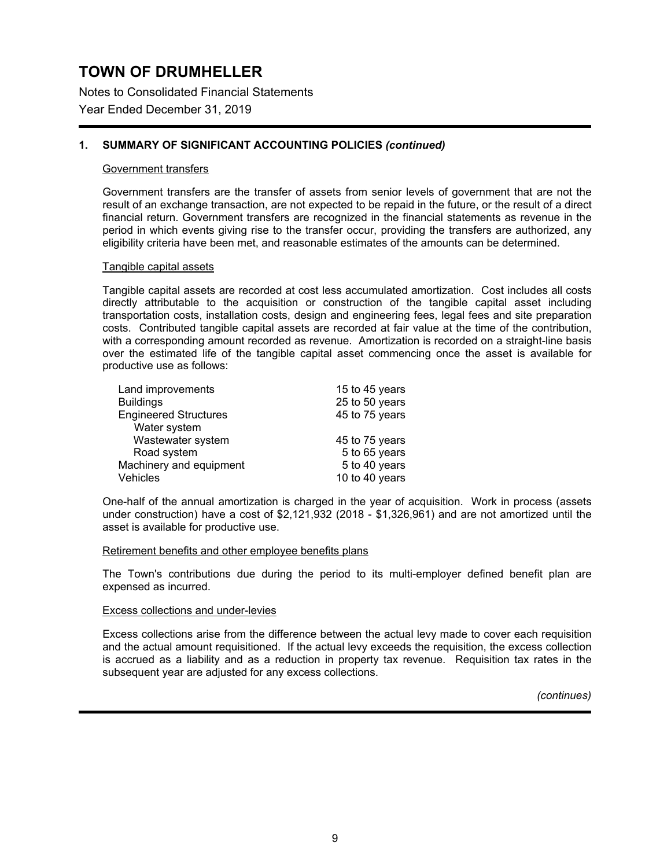Notes to Consolidated Financial Statements

### Year Ended December 31, 2019

### **1. SUMMARY OF SIGNIFICANT ACCOUNTING POLICIES** *(continued)*

### Government transfers

Government transfers are the transfer of assets from senior levels of government that are not the result of an exchange transaction, are not expected to be repaid in the future, or the result of a direct financial return. Government transfers are recognized in the financial statements as revenue in the period in which events giving rise to the transfer occur, providing the transfers are authorized, any eligibility criteria have been met, and reasonable estimates of the amounts can be determined.

#### Tangible capital assets

Tangible capital assets are recorded at cost less accumulated amortization. Cost includes all costs directly attributable to the acquisition or construction of the tangible capital asset including transportation costs, installation costs, design and engineering fees, legal fees and site preparation costs. Contributed tangible capital assets are recorded at fair value at the time of the contribution, with a corresponding amount recorded as revenue. Amortization is recorded on a straight-line basis over the estimated life of the tangible capital asset commencing once the asset is available for productive use as follows:

| Land improvements            | 15 to 45 years |
|------------------------------|----------------|
| <b>Buildings</b>             | 25 to 50 years |
| <b>Engineered Structures</b> | 45 to 75 years |
| Water system                 |                |
| Wastewater system            | 45 to 75 years |
| Road system                  | 5 to 65 years  |
| Machinery and equipment      | 5 to 40 years  |
| Vehicles                     | 10 to 40 years |

One-half of the annual amortization is charged in the year of acquisition. Work in process (assets under construction) have a cost of \$2,121,932 (2018 - \$1,326,961) and are not amortized until the asset is available for productive use.

#### Retirement benefits and other employee benefits plans

The Town's contributions due during the period to its multi-employer defined benefit plan are expensed as incurred.

### Excess collections and under-levies

Excess collections arise from the difference between the actual levy made to cover each requisition and the actual amount requisitioned. If the actual levy exceeds the requisition, the excess collection is accrued as a liability and as a reduction in property tax revenue. Requisition tax rates in the subsequent year are adjusted for any excess collections.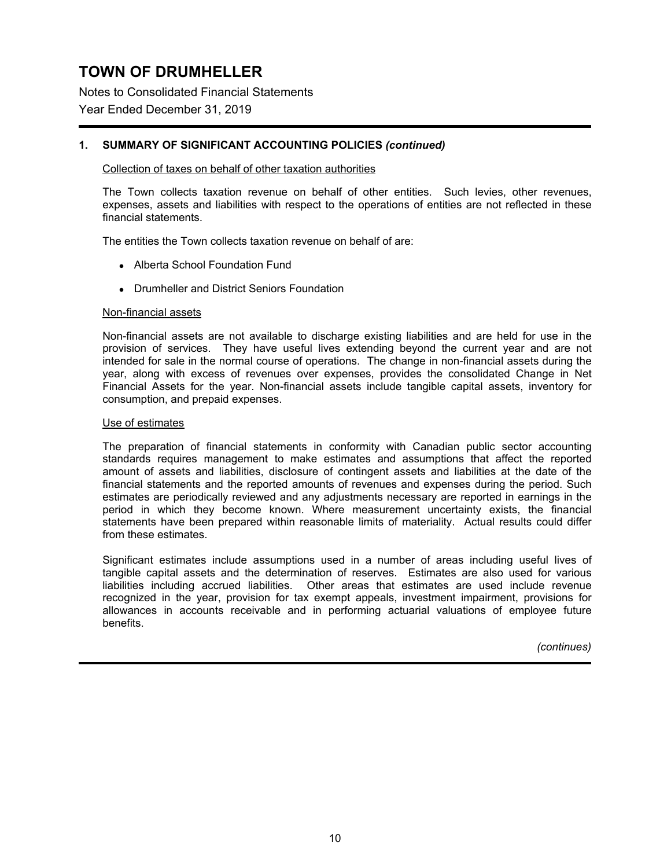Notes to Consolidated Financial Statements

## Year Ended December 31, 2019

## **1. SUMMARY OF SIGNIFICANT ACCOUNTING POLICIES** *(continued)*

#### Collection of taxes on behalf of other taxation authorities

The Town collects taxation revenue on behalf of other entities. Such levies, other revenues, expenses, assets and liabilities with respect to the operations of entities are not reflected in these financial statements.

The entities the Town collects taxation revenue on behalf of are:

- Alberta School Foundation Fund
- Drumheller and District Seniors Foundation

#### Non-financial assets

Non-financial assets are not available to discharge existing liabilities and are held for use in the provision of services. They have useful lives extending beyond the current year and are not intended for sale in the normal course of operations. The change in non-financial assets during the year, along with excess of revenues over expenses, provides the consolidated Change in Net Financial Assets for the year. Non-financial assets include tangible capital assets, inventory for consumption, and prepaid expenses.

#### Use of estimates

The preparation of financial statements in conformity with Canadian public sector accounting standards requires management to make estimates and assumptions that affect the reported amount of assets and liabilities, disclosure of contingent assets and liabilities at the date of the financial statements and the reported amounts of revenues and expenses during the period. Such estimates are periodically reviewed and any adjustments necessary are reported in earnings in the period in which they become known. Where measurement uncertainty exists, the financial statements have been prepared within reasonable limits of materiality. Actual results could differ from these estimates.

Significant estimates include assumptions used in a number of areas including useful lives of tangible capital assets and the determination of reserves. Estimates are also used for various liabilities including accrued liabilities. Other areas that estimates are used include revenue recognized in the year, provision for tax exempt appeals, investment impairment, provisions for allowances in accounts receivable and in performing actuarial valuations of employee future benefits.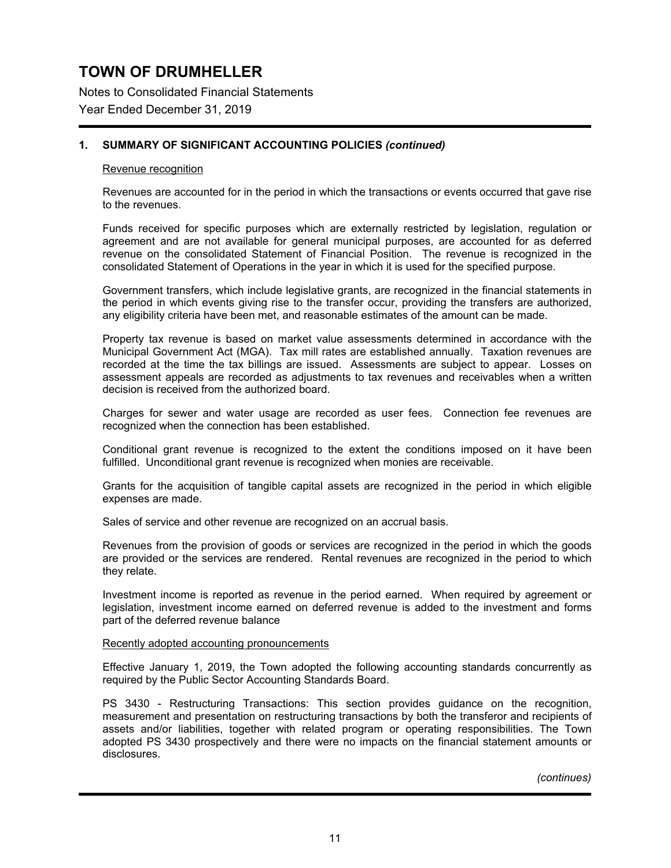Notes to Consolidated Financial Statements

### Year Ended December 31, 2019

### **1. SUMMARY OF SIGNIFICANT ACCOUNTING POLICIES** *(continued)*

#### Revenue recognition

Revenues are accounted for in the period in which the transactions or events occurred that gave rise to the revenues.

Funds received for specific purposes which are externally restricted by legislation, regulation or agreement and are not available for general municipal purposes, are accounted for as deferred revenue on the consolidated Statement of Financial Position. The revenue is recognized in the consolidated Statement of Operations in the year in which it is used for the specified purpose.

Government transfers, which include legislative grants, are recognized in the financial statements in the period in which events giving rise to the transfer occur, providing the transfers are authorized, any eligibility criteria have been met, and reasonable estimates of the amount can be made.

Property tax revenue is based on market value assessments determined in accordance with the Municipal Government Act (MGA). Tax mill rates are established annually. Taxation revenues are recorded at the time the tax billings are issued. Assessments are subject to appear. Losses on assessment appeals are recorded as adjustments to tax revenues and receivables when a written decision is received from the authorized board.

Charges for sewer and water usage are recorded as user fees. Connection fee revenues are recognized when the connection has been established.

Conditional grant revenue is recognized to the extent the conditions imposed on it have been fulfilled. Unconditional grant revenue is recognized when monies are receivable.

Grants for the acquisition of tangible capital assets are recognized in the period in which eligible expenses are made.

Sales of service and other revenue are recognized on an accrual basis.

Revenues from the provision of goods or services are recognized in the period in which the goods are provided or the services are rendered. Rental revenues are recognized in the period to which they relate.

Investment income is reported as revenue in the period earned. When required by agreement or legislation, investment income earned on deferred revenue is added to the investment and forms part of the deferred revenue balance

#### Recently adopted accounting pronouncements

Effective January 1, 2019, the Town adopted the following accounting standards concurrently as required by the Public Sector Accounting Standards Board.

PS 3430 - Restructuring Transactions: This section provides guidance on the recognition, measurement and presentation on restructuring transactions by both the transferor and recipients of assets and/or liabilities, together with related program or operating responsibilities. The Town adopted PS 3430 prospectively and there were no impacts on the financial statement amounts or disclosures.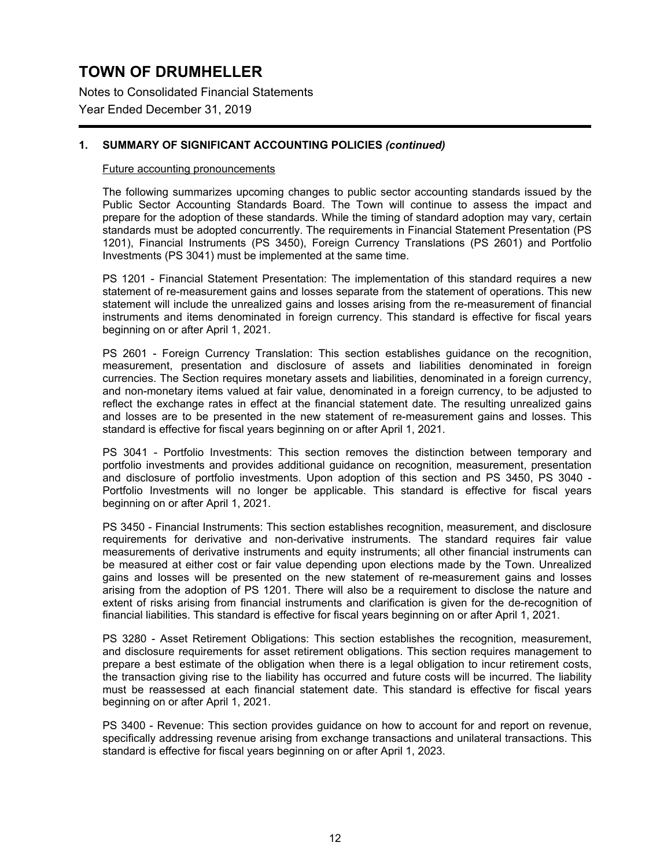Notes to Consolidated Financial Statements

Year Ended December 31, 2019

## **1. SUMMARY OF SIGNIFICANT ACCOUNTING POLICIES** *(continued)*

### Future accounting pronouncements

The following summarizes upcoming changes to public sector accounting standards issued by the Public Sector Accounting Standards Board. The Town will continue to assess the impact and prepare for the adoption of these standards. While the timing of standard adoption may vary, certain standards must be adopted concurrently. The requirements in Financial Statement Presentation (PS 1201), Financial Instruments (PS 3450), Foreign Currency Translations (PS 2601) and Portfolio Investments (PS 3041) must be implemented at the same time.

PS 1201 - Financial Statement Presentation: The implementation of this standard requires a new statement of re-measurement gains and losses separate from the statement of operations. This new statement will include the unrealized gains and losses arising from the re-measurement of financial instruments and items denominated in foreign currency. This standard is effective for fiscal years beginning on or after April 1, 2021.

PS 2601 - Foreign Currency Translation: This section establishes guidance on the recognition, measurement, presentation and disclosure of assets and liabilities denominated in foreign currencies. The Section requires monetary assets and liabilities, denominated in a foreign currency, and non-monetary items valued at fair value, denominated in a foreign currency, to be adjusted to reflect the exchange rates in effect at the financial statement date. The resulting unrealized gains and losses are to be presented in the new statement of re-measurement gains and losses. This standard is effective for fiscal years beginning on or after April 1, 2021.

PS 3041 - Portfolio Investments: This section removes the distinction between temporary and portfolio investments and provides additional guidance on recognition, measurement, presentation and disclosure of portfolio investments. Upon adoption of this section and PS 3450, PS 3040 - Portfolio Investments will no longer be applicable. This standard is effective for fiscal years beginning on or after April 1, 2021.

PS 3450 - Financial Instruments: This section establishes recognition, measurement, and disclosure requirements for derivative and non-derivative instruments. The standard requires fair value measurements of derivative instruments and equity instruments; all other financial instruments can be measured at either cost or fair value depending upon elections made by the Town. Unrealized gains and losses will be presented on the new statement of re-measurement gains and losses arising from the adoption of PS 1201. There will also be a requirement to disclose the nature and extent of risks arising from financial instruments and clarification is given for the de-recognition of financial liabilities. This standard is effective for fiscal years beginning on or after April 1, 2021.

PS 3280 - Asset Retirement Obligations: This section establishes the recognition, measurement, and disclosure requirements for asset retirement obligations. This section requires management to prepare a best estimate of the obligation when there is a legal obligation to incur retirement costs, the transaction giving rise to the liability has occurred and future costs will be incurred. The liability must be reassessed at each financial statement date. This standard is effective for fiscal years beginning on or after April 1, 2021.

PS 3400 - Revenue: This section provides guidance on how to account for and report on revenue, specifically addressing revenue arising from exchange transactions and unilateral transactions. This standard is effective for fiscal years beginning on or after April 1, 2023.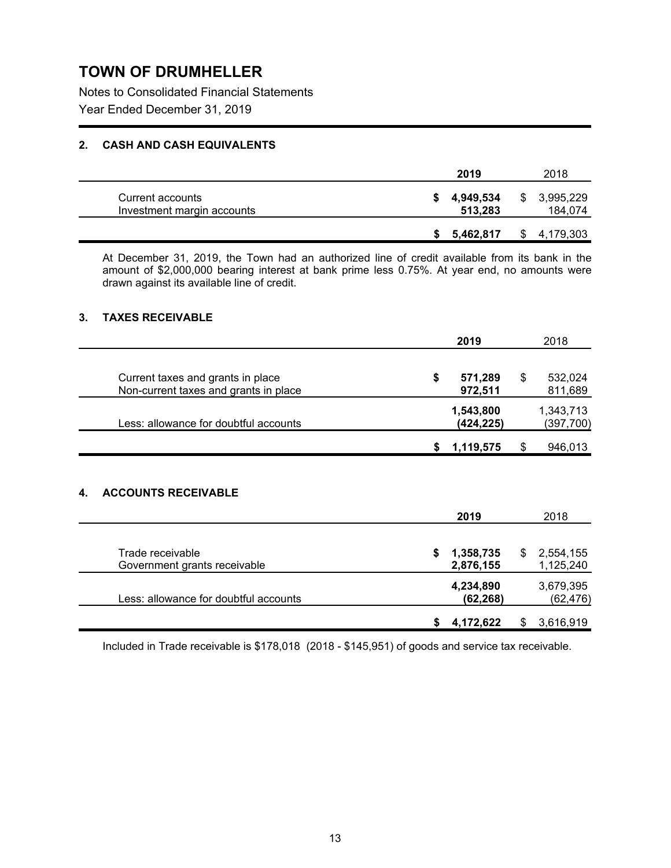Notes to Consolidated Financial Statements

Year Ended December 31, 2019

## **2. CASH AND CASH EQUIVALENTS**

|                                                | 2019                 | 2018                 |
|------------------------------------------------|----------------------|----------------------|
| Current accounts<br>Investment margin accounts | 4,949,534<br>513,283 | 3,995,229<br>184,074 |
|                                                | 5,462,817            | 4,179,303            |

At December 31, 2019, the Town had an authorized line of credit available from its bank in the amount of \$2,000,000 bearing interest at bank prime less 0.75%. At year end, no amounts were drawn against its available line of credit.

### **3. TAXES RECEIVABLE**

| 2019                     | 2018                     |
|--------------------------|--------------------------|
| \$<br>571,289<br>972,511 | \$<br>532,024<br>811,689 |
| 1,543,800<br>(424,225)   | 1,343,713<br>(397, 700)  |
| \$<br>1,119,575          | \$<br>946,013            |
|                          | 2018                     |
|                          | 2019                     |

| Trade receivable<br>Government grants receivable | 1,358,735<br>2,876,155 | 2,554,155<br>1,125,240 |
|--------------------------------------------------|------------------------|------------------------|
| Less: allowance for doubtful accounts            | 4,234,890<br>(62, 268) | 3,679,395<br>(62, 476) |
|                                                  | 4,172,622              | 3,616,919              |

Included in Trade receivable is \$178,018 (2018 - \$145,951) of goods and service tax receivable.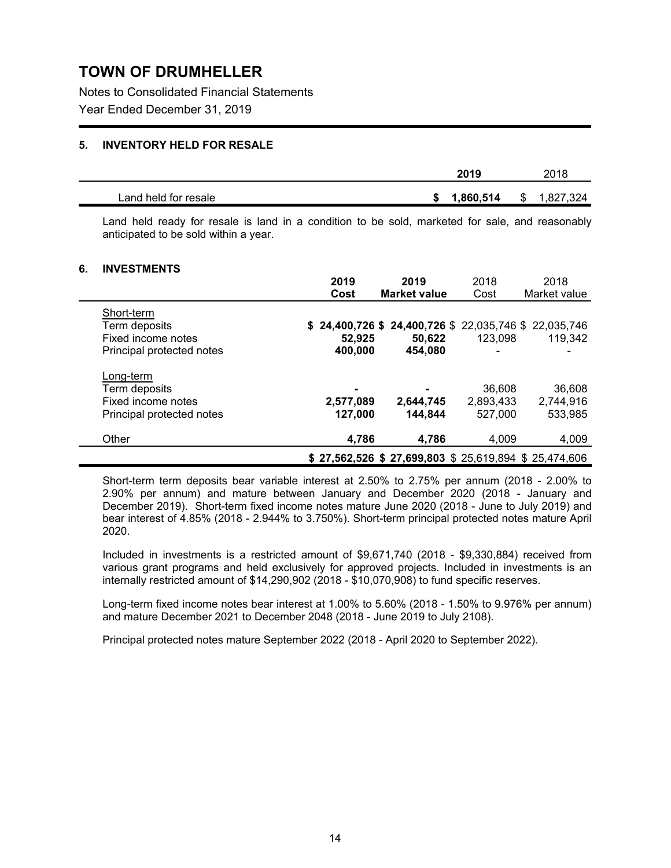Notes to Consolidated Financial Statements

Year Ended December 31, 2019

### **5. INVENTORY HELD FOR RESALE**

|                      | 2019           | 2018            |
|----------------------|----------------|-----------------|
| Land held for resale | 1,860,514<br>ъ | 1,827,324<br>S. |

Land held ready for resale is land in a condition to be sold, marketed for sale, and reasonably anticipated to be sold within a year.

### **6. INVESTMENTS**

|                           | 2019      | 2019                                                    | 2018      | 2018         |
|---------------------------|-----------|---------------------------------------------------------|-----------|--------------|
|                           | Cost      | <b>Market value</b>                                     | Cost      | Market value |
| Short-term                |           |                                                         |           |              |
| Term deposits             |           | \$ 24,400,726 \$ 24,400,726 \$ 22,035,746 \$ 22,035,746 |           |              |
| Fixed income notes        | 52,925    | 50.622                                                  | 123,098   | 119.342      |
| Principal protected notes | 400,000   | 454,080                                                 |           |              |
| Long-term                 |           |                                                         |           |              |
| Term deposits             |           |                                                         | 36,608    | 36,608       |
| Fixed income notes        | 2,577,089 | 2,644,745                                               | 2,893,433 | 2,744,916    |
| Principal protected notes | 127,000   | 144,844                                                 | 527,000   | 533,985      |
| Other                     | 4,786     | 4.786                                                   | 4.009     | 4,009        |
|                           |           | $$27,562,526$ $$27,699,803$ $$25,619,894$ $$25,474,606$ |           |              |

Short-term term deposits bear variable interest at 2.50% to 2.75% per annum (2018 - 2.00% to 2.90% per annum) and mature between January and December 2020 (2018 - January and December 2019). Short-term fixed income notes mature June 2020 (2018 - June to July 2019) and bear interest of 4.85% (2018 - 2.944% to 3.750%). Short-term principal protected notes mature April 2020.

Included in investments is a restricted amount of \$9,671,740 (2018 - \$9,330,884) received from various grant programs and held exclusively for approved projects. Included in investments is an internally restricted amount of \$14,290,902 (2018 - \$10,070,908) to fund specific reserves.

Long-term fixed income notes bear interest at 1.00% to 5.60% (2018 - 1.50% to 9.976% per annum) and mature December 2021 to December 2048 (2018 - June 2019 to July 2108).

Principal protected notes mature September 2022 (2018 - April 2020 to September 2022).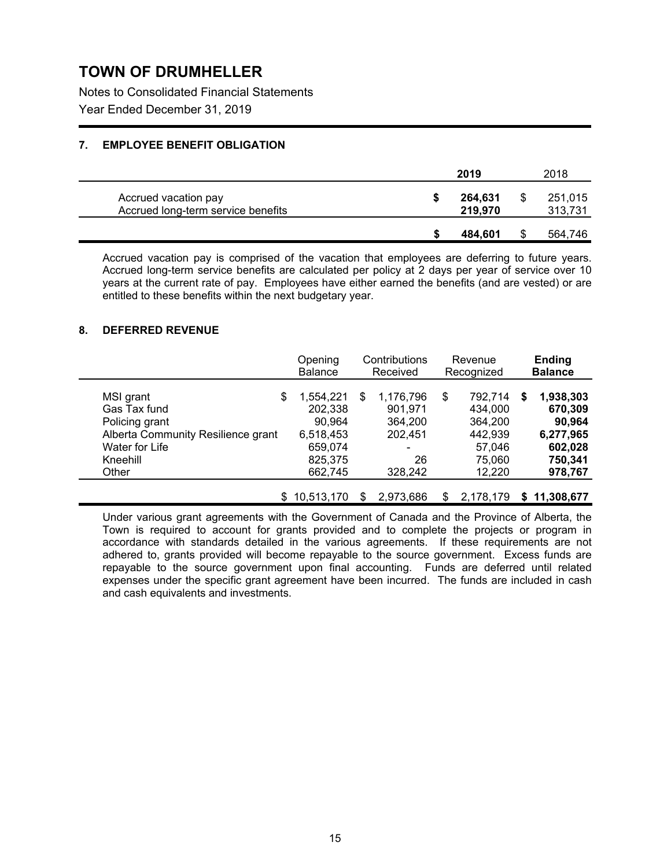Notes to Consolidated Financial Statements

Year Ended December 31, 2019

## **7. EMPLOYEE BENEFIT OBLIGATION**

|                                                            | 2019               | 2018               |
|------------------------------------------------------------|--------------------|--------------------|
| Accrued vacation pay<br>Accrued long-term service benefits | 264,631<br>219,970 | 251,015<br>313,731 |
|                                                            | 484.601            | 564,746            |

Accrued vacation pay is comprised of the vacation that employees are deferring to future years. Accrued long-term service benefits are calculated per policy at 2 days per year of service over 10 years at the current rate of pay. Employees have either earned the benefits (and are vested) or are entitled to these benefits within the next budgetary year.

### **8. DEFERRED REVENUE**

|                                    | Opening<br><b>Balance</b> |     | Contributions<br>Received | Revenue<br>Recognized |           |   | <b>Ending</b><br><b>Balance</b> |
|------------------------------------|---------------------------|-----|---------------------------|-----------------------|-----------|---|---------------------------------|
| MSI grant<br>\$                    | 1,554,221                 | \$  | 1,176,796                 | \$                    | 792,714   | S | 1,938,303                       |
| Gas Tax fund                       | 202,338                   |     | 901,971                   |                       | 434.000   |   | 670,309                         |
| Policing grant                     | 90,964                    |     | 364.200                   |                       | 364.200   |   | 90,964                          |
| Alberta Community Resilience grant | 6,518,453                 |     | 202.451                   |                       | 442.939   |   | 6,277,965                       |
| Water for Life                     | 659,074                   |     | ۰                         |                       | 57,046    |   | 602,028                         |
| Kneehill                           | 825,375                   |     | 26                        |                       | 75,060    |   | 750,341                         |
| Other                              | 662,745                   |     | 328,242                   |                       | 12,220    |   | 978,767                         |
|                                    | \$10,513,170              | \$. | 2,973,686                 | S                     | 2.178.179 |   | \$11,308,677                    |

Under various grant agreements with the Government of Canada and the Province of Alberta, the Town is required to account for grants provided and to complete the projects or program in accordance with standards detailed in the various agreements. If these requirements are not adhered to, grants provided will become repayable to the source government. Excess funds are repayable to the source government upon final accounting. Funds are deferred until related expenses under the specific grant agreement have been incurred. The funds are included in cash and cash equivalents and investments.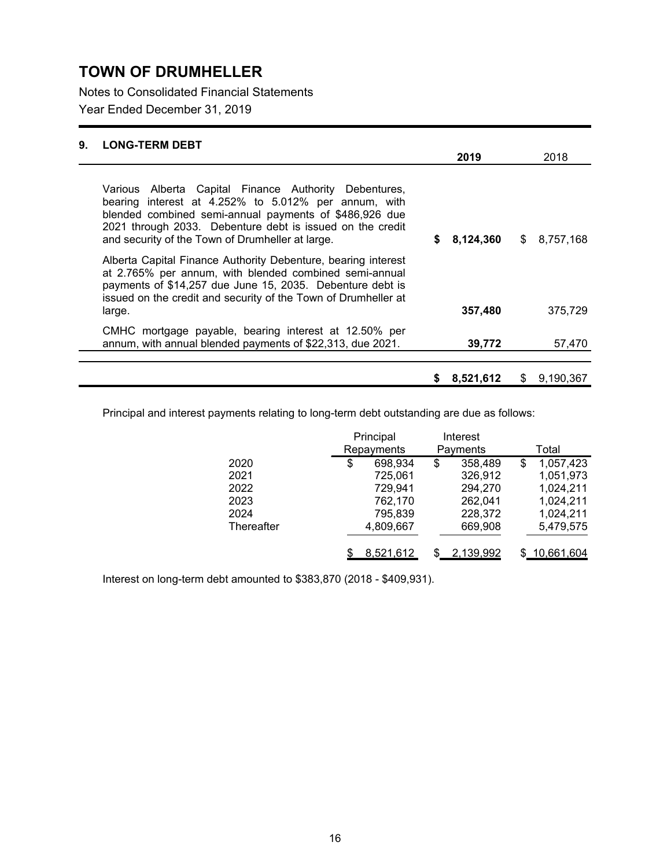Notes to Consolidated Financial Statements

Year Ended December 31, 2019

| 9. | <b>LONG-TERM DEBT</b>                                                                                                                                                                                                                                                                    |   |           |                 |
|----|------------------------------------------------------------------------------------------------------------------------------------------------------------------------------------------------------------------------------------------------------------------------------------------|---|-----------|-----------------|
|    |                                                                                                                                                                                                                                                                                          |   | 2019      | 2018            |
|    | Various Alberta Capital Finance Authority Debentures,<br>bearing interest at 4.252% to 5.012% per annum, with<br>blended combined semi-annual payments of \$486,926 due<br>2021 through 2033. Debenture debt is issued on the credit<br>and security of the Town of Drumheller at large. | S | 8,124,360 | \$8,757,168     |
|    | Alberta Capital Finance Authority Debenture, bearing interest<br>at 2.765% per annum, with blended combined semi-annual<br>payments of \$14,257 due June 15, 2035. Debenture debt is<br>issued on the credit and security of the Town of Drumheller at                                   |   | 357,480   | 375,729         |
|    | large.                                                                                                                                                                                                                                                                                   |   |           |                 |
|    | CMHC mortgage payable, bearing interest at 12.50% per<br>annum, with annual blended payments of \$22,313, due 2021.                                                                                                                                                                      |   | 39,772    | 57,470          |
|    |                                                                                                                                                                                                                                                                                          | S | 8,521,612 | \$<br>9,190,367 |

Principal and interest payments relating to long-term debt outstanding are due as follows:

|            | Principal     | Interest |           |                 |
|------------|---------------|----------|-----------|-----------------|
|            | Repayments    |          | Payments  | Total           |
| 2020       | \$<br>698,934 | \$       | 358,489   | \$<br>1,057,423 |
| 2021       | 725,061       |          | 326,912   | 1,051,973       |
| 2022       | 729,941       |          | 294,270   | 1,024,211       |
| 2023       | 762,170       |          | 262,041   | 1,024,211       |
| 2024       | 795,839       |          | 228,372   | 1,024,211       |
| Thereafter | 4,809,667     |          | 669,908   | 5,479,575       |
|            | 8,521,612     |          | 2,139,992 | \$10,661,604    |

Interest on long-term debt amounted to \$383,870 (2018 - \$409,931).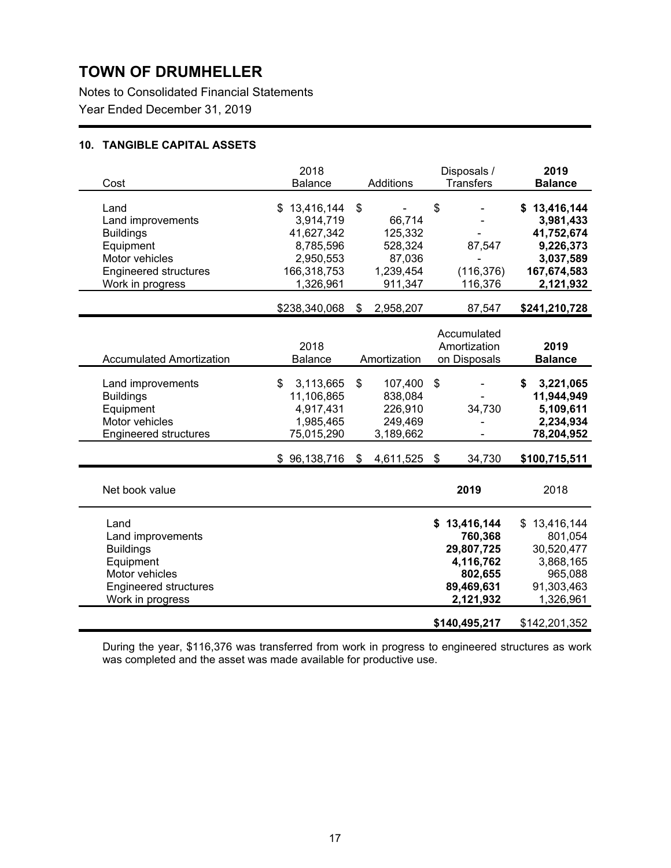Notes to Consolidated Financial Statements Year Ended December 31, 2019

## **10. TANGIBLE CAPITAL ASSETS**

| Cost                                                                                                                             | 2018<br><b>Balance</b>                                                                        | Additions                                                            | Disposals /<br><b>Transfers</b>                                                                           | 2019<br><b>Balance</b>                                                                                        |
|----------------------------------------------------------------------------------------------------------------------------------|-----------------------------------------------------------------------------------------------|----------------------------------------------------------------------|-----------------------------------------------------------------------------------------------------------|---------------------------------------------------------------------------------------------------------------|
| Land<br>Land improvements<br><b>Buildings</b><br>Equipment<br>Motor vehicles<br><b>Engineered structures</b><br>Work in progress | \$13,416,144<br>3,914,719<br>41,627,342<br>8,785,596<br>2,950,553<br>166,318,753<br>1,326,961 | \$<br>66,714<br>125,332<br>528,324<br>87,036<br>1,239,454<br>911,347 | \$<br>87,547<br>(116, 376)<br>116,376                                                                     | \$13,416,144<br>3,981,433<br>41,752,674<br>9,226,373<br>3,037,589<br>167,674,583<br>2,121,932                 |
|                                                                                                                                  | \$238,340,068                                                                                 | \$<br>2,958,207                                                      | 87,547                                                                                                    | \$241,210,728                                                                                                 |
| <b>Accumulated Amortization</b>                                                                                                  | 2018<br><b>Balance</b>                                                                        | Amortization                                                         | Accumulated<br>Amortization<br>on Disposals                                                               | 2019<br><b>Balance</b>                                                                                        |
| Land improvements<br><b>Buildings</b><br>Equipment<br>Motor vehicles<br><b>Engineered structures</b>                             | 3,113,665<br>\$<br>11,106,865<br>4,917,431<br>1,985,465<br>75,015,290                         | \$<br>107,400<br>838,084<br>226,910<br>249,469<br>3,189,662          | \$<br>34,730                                                                                              | \$<br>3,221,065<br>11,944,949<br>5,109,611<br>2,234,934<br>78,204,952                                         |
|                                                                                                                                  | \$96,138,716                                                                                  | \$<br>4,611,525                                                      | \$<br>34,730                                                                                              | \$100,715,511                                                                                                 |
| Net book value                                                                                                                   |                                                                                               |                                                                      | 2019                                                                                                      | 2018                                                                                                          |
| Land<br>Land improvements<br><b>Buildings</b><br>Equipment<br>Motor vehicles<br><b>Engineered structures</b><br>Work in progress |                                                                                               |                                                                      | \$13,416,144<br>760,368<br>29,807,725<br>4,116,762<br>802,655<br>89,469,631<br>2,121,932<br>\$140,495,217 | \$<br>13,416,144<br>801,054<br>30,520,477<br>3,868,165<br>965,088<br>91,303,463<br>1,326,961<br>\$142,201,352 |

During the year, \$116,376 was transferred from work in progress to engineered structures as work was completed and the asset was made available for productive use.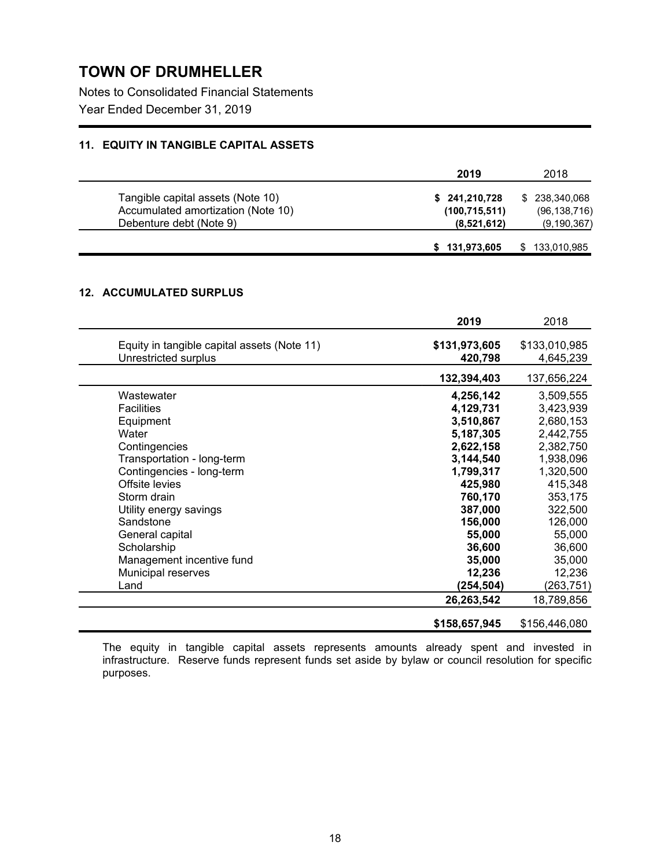Notes to Consolidated Financial Statements

Year Ended December 31, 2019

## **11. EQUITY IN TANGIBLE CAPITAL ASSETS**

|                                    | 2019            | 2018           |
|------------------------------------|-----------------|----------------|
| Tangible capital assets (Note 10)  | \$241,210,728   | \$ 238,340,068 |
| Accumulated amortization (Note 10) | (100, 715, 511) | (96, 138, 716) |
| Debenture debt (Note 9)            | (8,521,612)     | (9, 190, 367)  |
|                                    | \$131,973,605   | 133,010,985    |

## **12. ACCUMULATED SURPLUS**

|                                                                     | 2019                     | 2018                       |
|---------------------------------------------------------------------|--------------------------|----------------------------|
| Equity in tangible capital assets (Note 11)<br>Unrestricted surplus | \$131,973,605<br>420,798 | \$133,010,985<br>4,645,239 |
|                                                                     | 132,394,403              | 137,656,224                |
| Wastewater                                                          | 4,256,142                | 3,509,555                  |
| <b>Facilities</b>                                                   | 4,129,731                | 3,423,939                  |
| Equipment                                                           | 3,510,867                | 2,680,153                  |
| Water                                                               | 5,187,305                | 2,442,755                  |
| Contingencies                                                       | 2,622,158                | 2,382,750                  |
| Transportation - long-term                                          | 3,144,540                | 1,938,096                  |
| Contingencies - long-term                                           | 1,799,317                | 1,320,500                  |
| Offsite levies                                                      | 425,980                  | 415,348                    |
| Storm drain                                                         | 760,170                  | 353,175                    |
| Utility energy savings                                              | 387,000                  | 322,500                    |
| Sandstone                                                           | 156,000                  | 126,000                    |
| General capital                                                     | 55,000                   | 55,000                     |
| Scholarship                                                         | 36,600                   | 36,600                     |
| Management incentive fund                                           | 35,000                   | 35,000                     |
| Municipal reserves                                                  | 12,236                   | 12,236                     |
| Land                                                                | (254,504)                | (263,751)                  |
|                                                                     | 26,263,542               | 18,789,856                 |
|                                                                     | \$158,657,945            | \$156,446,080              |

The equity in tangible capital assets represents amounts already spent and invested in infrastructure. Reserve funds represent funds set aside by bylaw or council resolution for specific purposes.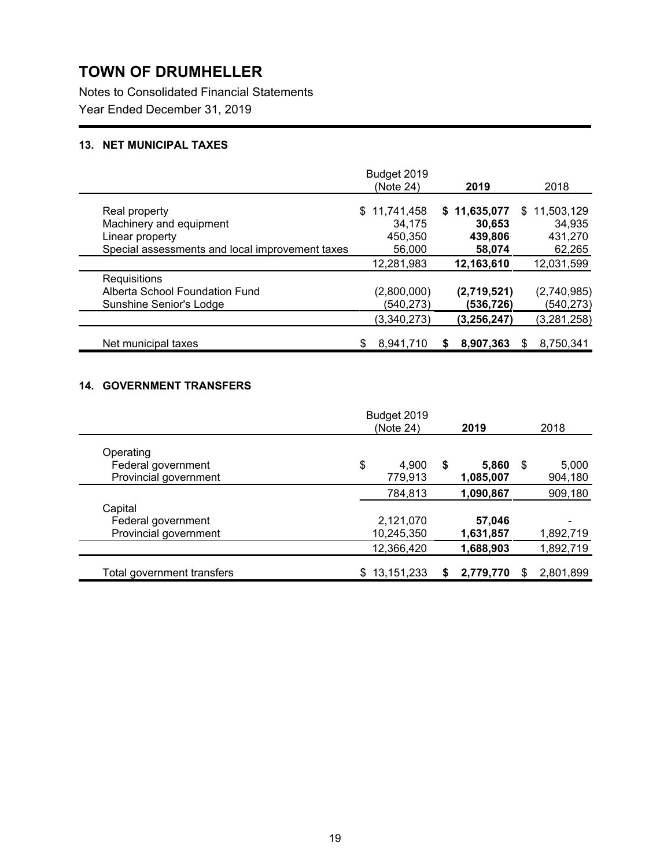Notes to Consolidated Financial Statements

Year Ended December 31, 2019

## **13. NET MUNICIPAL TAXES**

|                                                 | Budget 2019    |              |                |
|-------------------------------------------------|----------------|--------------|----------------|
|                                                 | (Note 24)      | 2019         | 2018           |
| Real property                                   | \$11,741,458   | \$11,635,077 | \$11,503,129   |
| Machinery and equipment                         | 34,175         | 30,653       | 34,935         |
| Linear property                                 | 450,350        | 439,806      | 431,270        |
| Special assessments and local improvement taxes | 56,000         | 58,074       | 62,265         |
|                                                 | 12,281,983     | 12,163,610   | 12,031,599     |
| Requisitions                                    |                |              |                |
| Alberta School Foundation Fund                  | (2,800,000)    | (2,719,521)  | (2,740,985)    |
| Sunshine Senior's Lodge                         | (540, 273)     | (536,726)    | (540, 273)     |
|                                                 | (3,340,273)    | (3,256,247)  | (3, 281, 258)  |
| Net municipal taxes                             | 8,941,710<br>S | 8,907,363    | 8,750,341<br>S |

### **14. GOVERNMENT TRANSFERS**

|                            | Budget 2019       |   |           |     |           |
|----------------------------|-------------------|---|-----------|-----|-----------|
|                            | (Note 24)         |   | 2019      |     | 2018      |
| Operating                  |                   |   |           |     |           |
| Federal government         | \$<br>4,900       | S | 5,860     | \$  | 5,000     |
| Provincial government      | 779,913           |   | 1,085,007 |     | 904,180   |
|                            | 784,813           |   | 1,090,867 |     | 909,180   |
| Capital                    |                   |   |           |     |           |
| Federal government         | 2,121,070         |   | 57,046    |     |           |
| Provincial government      | 10,245,350        |   | 1,631,857 |     | 1,892,719 |
|                            | 12,366,420        |   | 1,688,903 |     | 1,892,719 |
| Total government transfers | 13,151,233<br>\$. |   | 2,779,770 | \$. | 2,801,899 |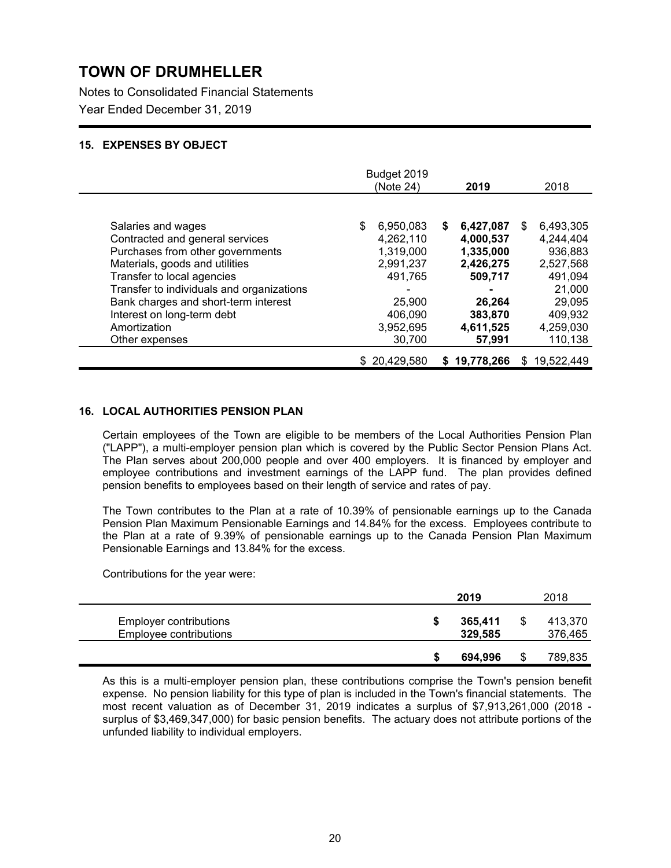Notes to Consolidated Financial Statements

Year Ended December 31, 2019

### **15. EXPENSES BY OBJECT**

|                                           | Budget 2019<br>(Note 24) | 2019             | 2018             |
|-------------------------------------------|--------------------------|------------------|------------------|
|                                           |                          |                  |                  |
| Salaries and wages                        | 6,950,083                | 6,427,087<br>S.  | 6,493,305<br>\$. |
| Contracted and general services           | 4,262,110                | 4,000,537        | 4,244,404        |
| Purchases from other governments          | 1,319,000                | 1,335,000        | 936,883          |
| Materials, goods and utilities            | 2,991,237                | 2,426,275        | 2,527,568        |
| Transfer to local agencies                | 491,765                  | 509,717          | 491,094          |
| Transfer to individuals and organizations |                          |                  | 21,000           |
| Bank charges and short-term interest      | 25,900                   | 26,264           | 29,095           |
| Interest on long-term debt                | 406,090                  | 383,870          | 409,932          |
| Amortization                              | 3,952,695                | 4,611,525        | 4,259,030        |
| Other expenses                            | 30,700                   | 57,991           | 110,138          |
|                                           | \$20,429,580             | 19,778,266<br>S. | 19,522,449<br>S. |

### **16. LOCAL AUTHORITIES PENSION PLAN**

Certain employees of the Town are eligible to be members of the Local Authorities Pension Plan ("LAPP"), a multi-employer pension plan which is covered by the Public Sector Pension Plans Act. The Plan serves about 200,000 people and over 400 employers. It is financed by employer and employee contributions and investment earnings of the LAPP fund. The plan provides defined pension benefits to employees based on their length of service and rates of pay.

The Town contributes to the Plan at a rate of 10.39% of pensionable earnings up to the Canada Pension Plan Maximum Pensionable Earnings and 14.84% for the excess. Employees contribute to the Plan at a rate of 9.39% of pensionable earnings up to the Canada Pension Plan Maximum Pensionable Earnings and 13.84% for the excess.

Contributions for the year were:

|                                                         |   | 2019               | 2018               |
|---------------------------------------------------------|---|--------------------|--------------------|
| <b>Employer contributions</b><br>Employee contributions | S | 365,411<br>329,585 | 413.370<br>376,465 |
|                                                         |   | 694.996            | 789,835            |

As this is a multi-employer pension plan, these contributions comprise the Town's pension benefit expense. No pension liability for this type of plan is included in the Town's financial statements. The most recent valuation as of December 31, 2019 indicates a surplus of \$7,913,261,000 (2018 surplus of \$3,469,347,000) for basic pension benefits. The actuary does not attribute portions of the unfunded liability to individual employers.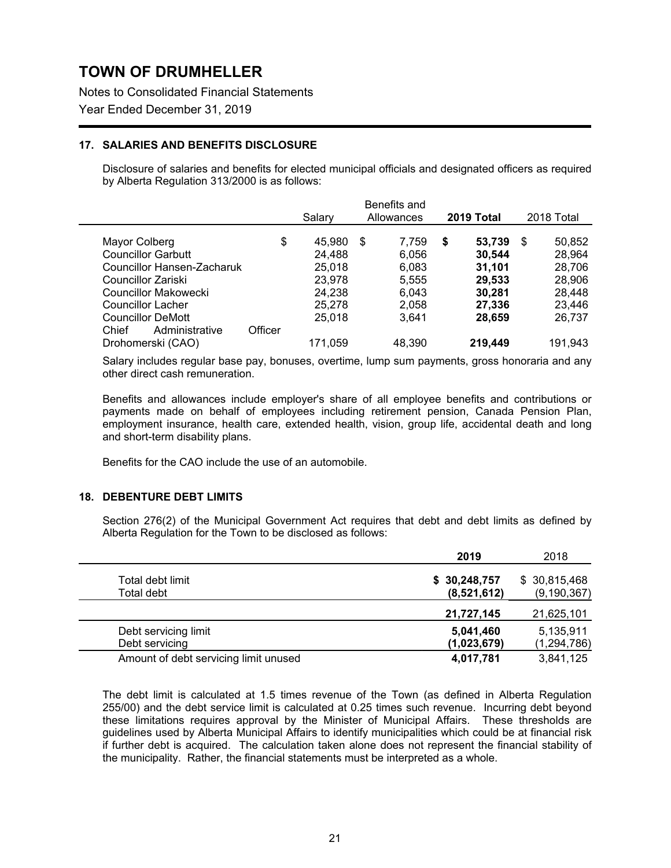Notes to Consolidated Financial Statements

Year Ended December 31, 2019

### **17. SALARIES AND BENEFITS DISCLOSURE**

Disclosure of salaries and benefits for elected municipal officials and designated officers as required by Alberta Regulation 313/2000 is as follows:

|                                            |         | Salarv           | Benefits and<br>Allowances | 2019 Total            | 2018 Total             |
|--------------------------------------------|---------|------------------|----------------------------|-----------------------|------------------------|
|                                            |         |                  | \$                         |                       |                        |
| Mayor Colberg<br><b>Councillor Garbutt</b> | \$      | 45,980<br>24.488 | 7,759<br>6,056             | 53,739<br>S<br>30,544 | 50,852<br>\$<br>28,964 |
| Councillor Hansen-Zacharuk                 |         | 25,018           | 6,083                      | 31,101                | 28,706                 |
| Councillor Zariski                         |         | 23,978           | 5,555                      | 29,533                | 28,906                 |
| Councillor Makowecki                       |         | 24,238           | 6,043                      | 30.281                | 28,448                 |
| Councillor Lacher                          |         | 25,278           | 2,058                      | 27,336                | 23,446                 |
| <b>Councillor DeMott</b>                   |         | 25.018           | 3,641                      | 28,659                | 26,737                 |
| Administrative<br>Chief                    | Officer |                  |                            |                       |                        |
| Drohomerski (CAO)                          |         | 171,059          | 48,390                     | 219,449               | 191,943                |

Salary includes regular base pay, bonuses, overtime, lump sum payments, gross honoraria and any other direct cash remuneration.

Benefits and allowances include employer's share of all employee benefits and contributions or payments made on behalf of employees including retirement pension, Canada Pension Plan, employment insurance, health care, extended health, vision, group life, accidental death and long and short-term disability plans.

Benefits for the CAO include the use of an automobile.

### **18. DEBENTURE DEBT LIMITS**

Section 276(2) of the Municipal Government Act requires that debt and debt limits as defined by Alberta Regulation for the Town to be disclosed as follows:

|                                        | 2019                        | 2018                          |
|----------------------------------------|-----------------------------|-------------------------------|
| Total debt limit<br>Total debt         | \$30,248,757<br>(8,521,612) | \$30,815,468<br>(9, 190, 367) |
|                                        | 21,727,145                  | 21,625,101                    |
| Debt servicing limit<br>Debt servicing | 5,041,460<br>(1,023,679)    | 5,135,911<br>(1, 294, 786)    |
| Amount of debt servicing limit unused  | 4,017,781                   | 3,841,125                     |

The debt limit is calculated at 1.5 times revenue of the Town (as defined in Alberta Regulation 255/00) and the debt service limit is calculated at 0.25 times such revenue. Incurring debt beyond these limitations requires approval by the Minister of Municipal Affairs. These thresholds are guidelines used by Alberta Municipal Affairs to identify municipalities which could be at financial risk if further debt is acquired. The calculation taken alone does not represent the financial stability of the municipality. Rather, the financial statements must be interpreted as a whole.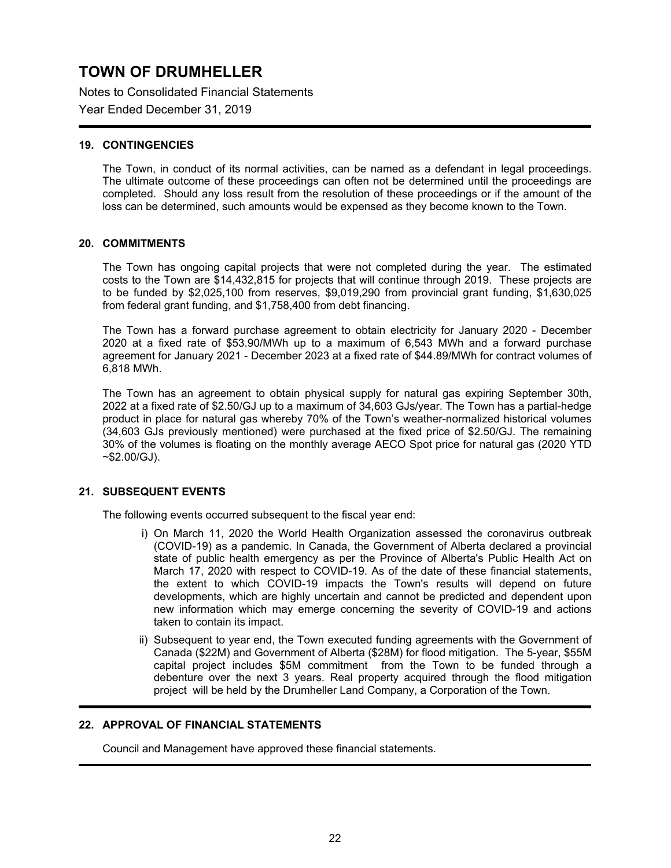Notes to Consolidated Financial Statements

Year Ended December 31, 2019

### **19. CONTINGENCIES**

The Town, in conduct of its normal activities, can be named as a defendant in legal proceedings. The ultimate outcome of these proceedings can often not be determined until the proceedings are completed. Should any loss result from the resolution of these proceedings or if the amount of the loss can be determined, such amounts would be expensed as they become known to the Town.

### **20. COMMITMENTS**

The Town has ongoing capital projects that were not completed during the year. The estimated costs to the Town are \$14,432,815 for projects that will continue through 2019. These projects are to be funded by \$2,025,100 from reserves, \$9,019,290 from provincial grant funding, \$1,630,025 from federal grant funding, and \$1,758,400 from debt financing.

The Town has a forward purchase agreement to obtain electricity for January 2020 - December 2020 at a fixed rate of \$53.90/MWh up to a maximum of 6,543 MWh and a forward purchase agreement for January 2021 - December 2023 at a fixed rate of \$44.89/MWh for contract volumes of 6,818 MWh.

The Town has an agreement to obtain physical supply for natural gas expiring September 30th, 2022 at a fixed rate of \$2.50/GJ up to a maximum of 34,603 GJs/year. The Town has a partial-hedge product in place for natural gas whereby 70% of the Town's weather-normalized historical volumes (34,603 GJs previously mentioned) were purchased at the fixed price of \$2.50/GJ. The remaining 30% of the volumes is floating on the monthly average AECO Spot price for natural gas (2020 YTD  $~52.00$ /GJ).

### **21. SUBSEQUENT EVENTS**

The following events occurred subsequent to the fiscal year end:

- i) On March 11, 2020 the World Health Organization assessed the coronavirus outbreak (COVID-19) as a pandemic. In Canada, the Government of Alberta declared a provincial state of public health emergency as per the Province of Alberta's Public Health Act on March 17, 2020 with respect to COVID-19. As of the date of these financial statements, the extent to which COVID-19 impacts the Town's results will depend on future developments, which are highly uncertain and cannot be predicted and dependent upon new information which may emerge concerning the severity of COVID-19 and actions taken to contain its impact.
- ii) Subsequent to year end, the Town executed funding agreements with the Government of Canada (\$22M) and Government of Alberta (\$28M) for flood mitigation. The 5-year, \$55M capital project includes \$5M commitment from the Town to be funded through a debenture over the next 3 years. Real property acquired through the flood mitigation project will be held by the Drumheller Land Company, a Corporation of the Town.

### **22. APPROVAL OF FINANCIAL STATEMENTS**

Council and Management have approved these financial statements.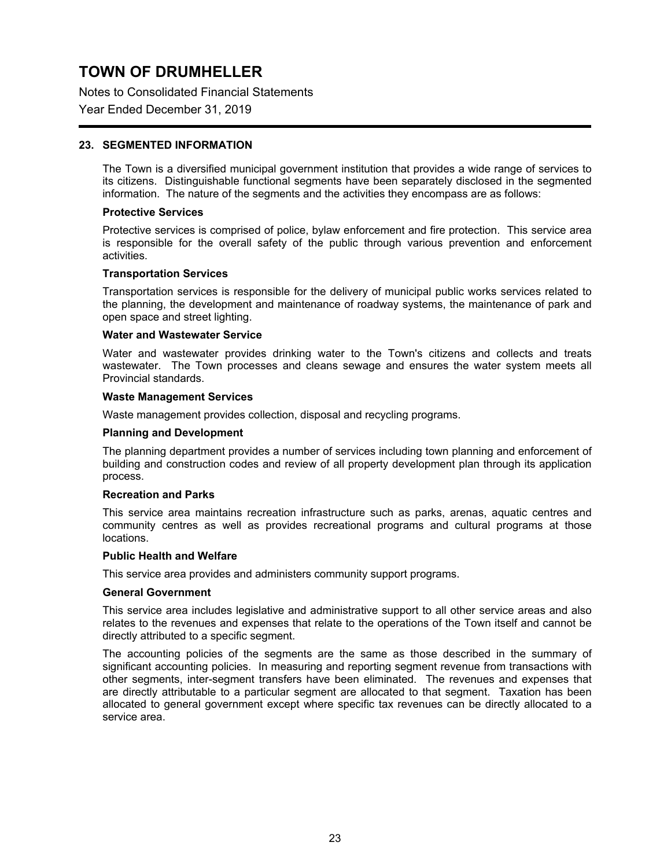Notes to Consolidated Financial Statements

### Year Ended December 31, 2019

### **23. SEGMENTED INFORMATION**

The Town is a diversified municipal government institution that provides a wide range of services to its citizens. Distinguishable functional segments have been separately disclosed in the segmented information. The nature of the segments and the activities they encompass are as follows:

#### **Protective Services**

Protective services is comprised of police, bylaw enforcement and fire protection. This service area is responsible for the overall safety of the public through various prevention and enforcement activities.

#### **Transportation Services**

Transportation services is responsible for the delivery of municipal public works services related to the planning, the development and maintenance of roadway systems, the maintenance of park and open space and street lighting.

#### **Water and Wastewater Service**

Water and wastewater provides drinking water to the Town's citizens and collects and treats wastewater. The Town processes and cleans sewage and ensures the water system meets all Provincial standards.

#### **Waste Management Services**

Waste management provides collection, disposal and recycling programs.

#### **Planning and Development**

The planning department provides a number of services including town planning and enforcement of building and construction codes and review of all property development plan through its application process.

#### **Recreation and Parks**

This service area maintains recreation infrastructure such as parks, arenas, aquatic centres and community centres as well as provides recreational programs and cultural programs at those locations.

#### **Public Health and Welfare**

This service area provides and administers community support programs.

#### **General Government**

This service area includes legislative and administrative support to all other service areas and also relates to the revenues and expenses that relate to the operations of the Town itself and cannot be directly attributed to a specific segment.

The accounting policies of the segments are the same as those described in the summary of significant accounting policies. In measuring and reporting segment revenue from transactions with other segments, inter-segment transfers have been eliminated. The revenues and expenses that are directly attributable to a particular segment are allocated to that segment. Taxation has been allocated to general government except where specific tax revenues can be directly allocated to a service area.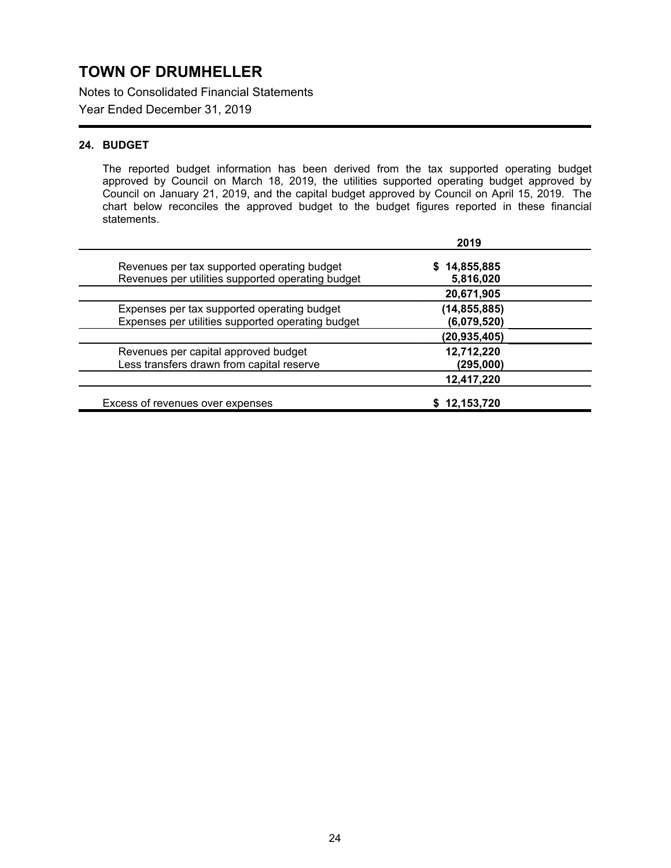Notes to Consolidated Financial Statements

Year Ended December 31, 2019

## **24. BUDGET**

The reported budget information has been derived from the tax supported operating budget approved by Council on March 18, 2019, the utilities supported operating budget approved by Council on January 21, 2019, and the capital budget approved by Council on April 15, 2019. The chart below reconciles the approved budget to the budget figures reported in these financial statements.

|                                                                                                  | 2019                          |
|--------------------------------------------------------------------------------------------------|-------------------------------|
| Revenues per tax supported operating budget<br>Revenues per utilities supported operating budget | \$14,855,885<br>5,816,020     |
|                                                                                                  | 20,671,905                    |
| Expenses per tax supported operating budget<br>Expenses per utilities supported operating budget | (14, 855, 885)<br>(6,079,520) |
|                                                                                                  | (20, 935, 405)                |
| Revenues per capital approved budget<br>Less transfers drawn from capital reserve                | 12,712,220<br>(295,000)       |
|                                                                                                  | 12,417,220                    |
| Excess of revenues over expenses                                                                 | \$12,153,720                  |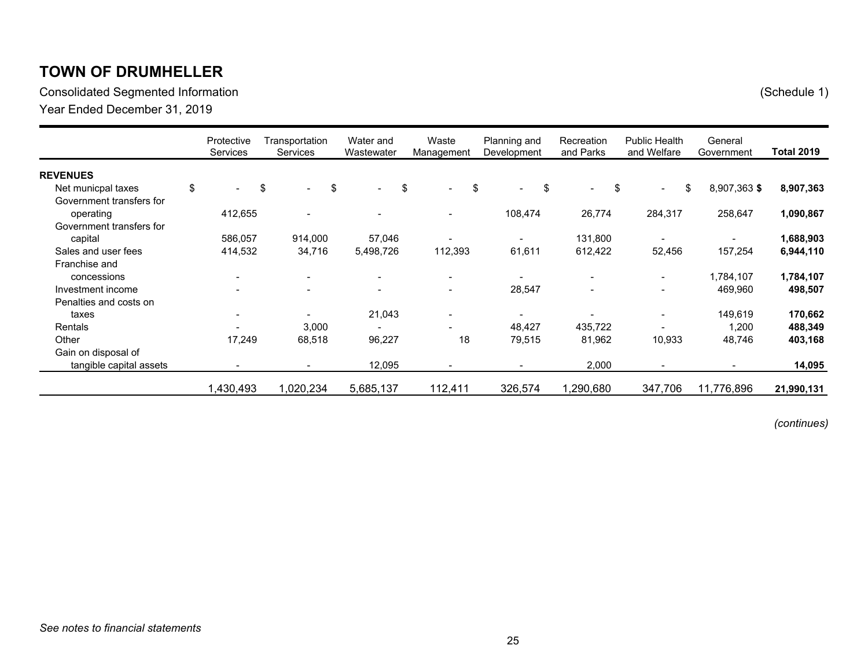Consolidated Segmented Information (Schedule 1)

Year Ended December 31, 2019

|                          | Protective<br>Services | Transportation<br>Services     |     | Water and<br>Wastewater  | Waste<br>Management            | Planning and<br>Development | Recreation<br>and Parks  |     | <b>Public Health</b><br>and Welfare | General<br>Government | <b>Total 2019</b> |
|--------------------------|------------------------|--------------------------------|-----|--------------------------|--------------------------------|-----------------------------|--------------------------|-----|-------------------------------------|-----------------------|-------------------|
| <b>REVENUES</b>          |                        |                                |     |                          |                                |                             |                          |     |                                     |                       |                   |
| Net municpal taxes       | \$<br>$\sim$           | \$<br>$\overline{\phantom{0}}$ | -\$ | $\overline{\phantom{0}}$ | \$<br>$\overline{\phantom{0}}$ | \$<br>\$<br>$\blacksquare$  | $\blacksquare$           | -\$ | $\overline{\phantom{0}}$            | \$<br>8,907,363 \$    | 8,907,363         |
| Government transfers for |                        |                                |     |                          |                                |                             |                          |     |                                     |                       |                   |
| operating                | 412,655                |                                |     |                          |                                | 108,474                     | 26,774                   |     | 284,317                             | 258,647               | 1,090,867         |
| Government transfers for |                        |                                |     |                          |                                |                             |                          |     |                                     |                       |                   |
| capital                  | 586,057                | 914,000                        |     | 57,046                   |                                |                             | 131,800                  |     |                                     |                       | 1,688,903         |
| Sales and user fees      | 414,532                | 34,716                         |     | 5,498,726                | 112,393                        | 61,611                      | 612,422                  |     | 52,456                              | 157,254               | 6,944,110         |
| Franchise and            |                        |                                |     |                          |                                |                             |                          |     |                                     |                       |                   |
| concessions              |                        | $\overline{\phantom{a}}$       |     | $\overline{\phantom{a}}$ |                                |                             |                          |     | $\overline{\phantom{0}}$            | 1,784,107             | 1,784,107         |
| Investment income        |                        | $\overline{\phantom{0}}$       |     | $\overline{\phantom{0}}$ |                                | 28,547                      | $\overline{\phantom{a}}$ |     | $\overline{\phantom{0}}$            | 469,960               | 498,507           |
| Penalties and costs on   |                        |                                |     |                          |                                |                             |                          |     |                                     |                       |                   |
| taxes                    |                        | $\blacksquare$                 |     | 21,043                   |                                | $\overline{\phantom{a}}$    |                          |     | $\overline{\phantom{0}}$            | 149,619               | 170,662           |
| Rentals                  |                        | 3,000                          |     |                          |                                | 48,427                      | 435,722                  |     |                                     | 1,200                 | 488,349           |
| Other                    | 17,249                 | 68,518                         |     | 96,227                   | 18                             | 79,515                      | 81,962                   |     | 10,933                              | 48,746                | 403,168           |
| Gain on disposal of      |                        |                                |     |                          |                                |                             |                          |     |                                     |                       |                   |
| tangible capital assets  |                        |                                |     | 12,095                   |                                |                             | 2,000                    |     |                                     |                       | 14,095            |
|                          | 1,430,493              | 1,020,234                      |     | 5,685,137                | 112,411                        | 326,574                     | 1,290,680                |     | 347,706                             | 11,776,896            | 21,990,131        |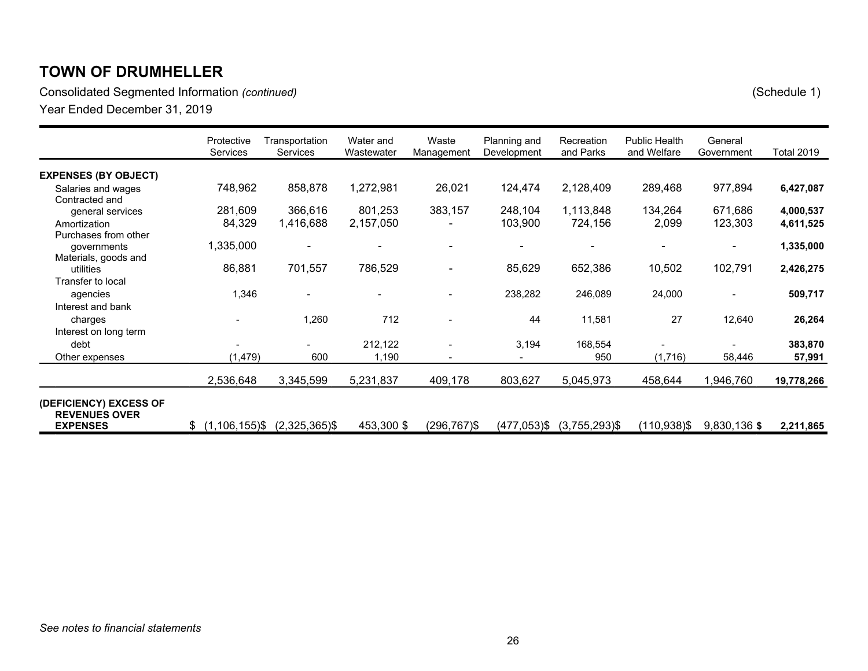Consolidated Segmented Information *(continued)* (Schedule 1)

|                                                | Protective<br><b>Services</b> | Transportation<br><b>Services</b> | Water and<br>Wastewater | Waste<br>Management | Planning and<br>Development | Recreation<br>and Parks | <b>Public Health</b><br>and Welfare | General<br>Government | <b>Total 2019</b> |
|------------------------------------------------|-------------------------------|-----------------------------------|-------------------------|---------------------|-----------------------------|-------------------------|-------------------------------------|-----------------------|-------------------|
| <b>EXPENSES (BY OBJECT)</b>                    |                               |                                   |                         |                     |                             |                         |                                     |                       |                   |
| Salaries and wages<br>Contracted and           | 748,962                       | 858,878                           | 1,272,981               | 26,021              | 124,474                     | 2,128,409               | 289,468                             | 977,894               | 6,427,087         |
| general services                               | 281,609                       | 366,616                           | 801,253                 | 383,157             | 248,104                     | 1,113,848               | 134,264                             | 671,686               | 4,000,537         |
| Amortization                                   | 84,329                        | 1,416,688                         | 2,157,050               |                     | 103,900                     | 724,156                 | 2,099                               | 123,303               | 4,611,525         |
| Purchases from other                           |                               |                                   |                         |                     |                             |                         |                                     |                       |                   |
| governments                                    | 1,335,000                     |                                   |                         |                     |                             |                         |                                     |                       | 1,335,000         |
| Materials, goods and                           |                               |                                   |                         |                     |                             |                         |                                     |                       |                   |
| utilities                                      | 86,881                        | 701,557                           | 786,529                 |                     | 85,629                      | 652,386                 | 10,502                              | 102,791               | 2,426,275         |
| Transfer to local                              |                               |                                   |                         |                     |                             |                         |                                     |                       |                   |
| agencies                                       | 1,346                         |                                   |                         |                     | 238,282                     | 246,089                 | 24,000                              |                       | 509,717           |
| Interest and bank                              |                               |                                   |                         |                     |                             |                         |                                     |                       |                   |
| charges                                        |                               | 1,260                             | 712                     |                     | 44                          | 11,581                  | 27                                  | 12,640                | 26,264            |
| Interest on long term                          |                               |                                   |                         |                     |                             |                         |                                     |                       |                   |
| debt                                           |                               |                                   | 212,122                 |                     | 3,194                       | 168,554                 |                                     |                       | 383,870           |
| Other expenses                                 | (1, 479)                      | 600                               | 1,190                   |                     |                             | 950                     | (1,716)                             | 58,446                | 57,991            |
|                                                | 2,536,648                     | 3,345,599                         | 5,231,837               | 409,178             | 803,627                     | 5,045,973               | 458,644                             | 1,946,760             | 19,778,266        |
| (DEFICIENCY) EXCESS OF<br><b>REVENUES OVER</b> |                               |                                   |                         |                     |                             |                         |                                     |                       |                   |
| <b>EXPENSES</b>                                | $(1, 106, 155)$ \$<br>\$      | $(2,325,365)$ \$                  | 453,300 \$              | $(296, 767)$ \$     | (477,053)\$                 | $(3,755,293)$ \$        | $(110,938)$ \$                      | 9,830,136\$           | 2,211,865         |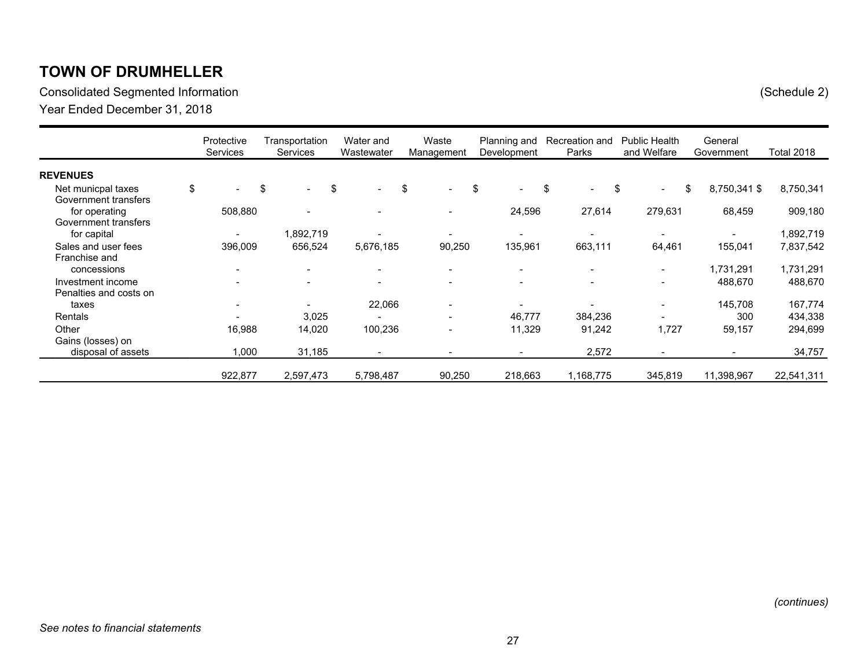Consolidated Segmented Information (Schedule 2)

Year Ended December 31, 2018

|                        | Protective<br>Services   | Transportation<br>Services | Water and<br>Wastewater  | Waste<br>Management                  | Planning and<br>Development | Recreation and<br>Parks  | <b>Public Health</b><br>and Welfare | General<br>Government | Total 2018 |
|------------------------|--------------------------|----------------------------|--------------------------|--------------------------------------|-----------------------------|--------------------------|-------------------------------------|-----------------------|------------|
| <b>REVENUES</b>        |                          |                            |                          |                                      |                             |                          |                                     |                       |            |
| Net municpal taxes     | \$<br>$\sim$             | \$<br>$\blacksquare$       | \$<br>$\sim$             | <b>S</b><br>$\overline{\phantom{0}}$ | \$<br>$\sim$                | \$<br>$\blacksquare$     | - \$<br>$\blacksquare$              | \$<br>8,750,341 \$    | 8,750,341  |
| Government transfers   |                          |                            |                          |                                      |                             |                          |                                     |                       |            |
| for operating          | 508,880                  |                            | $\overline{\phantom{a}}$ |                                      | 24,596                      | 27,614                   | 279,631                             | 68,459                | 909,180    |
| Government transfers   |                          |                            |                          |                                      |                             |                          |                                     |                       |            |
| for capital            | $\blacksquare$           | 1,892,719                  |                          |                                      |                             | $\overline{\phantom{0}}$ |                                     |                       | 1,892,719  |
| Sales and user fees    | 396,009                  | 656,524                    | 5,676,185                | 90,250                               | 135,961                     | 663,111                  | 64,461                              | 155,041               | 7,837,542  |
| Franchise and          |                          |                            |                          |                                      |                             |                          |                                     |                       |            |
| concessions            | $\overline{\phantom{0}}$ | $\overline{\phantom{a}}$   | $\blacksquare$           | $\overline{\phantom{a}}$             | $\blacksquare$              | $\overline{\phantom{a}}$ | $\overline{\phantom{a}}$            | 1,731,291             | 1,731,291  |
| Investment income      |                          |                            | $\overline{\phantom{a}}$ |                                      |                             | $\blacksquare$           |                                     | 488,670               | 488,670    |
| Penalties and costs on |                          |                            |                          |                                      |                             |                          |                                     |                       |            |
| taxes                  | $\sim$                   |                            | 22,066                   |                                      |                             |                          | $\blacksquare$                      | 145,708               | 167,774    |
| Rentals                |                          | 3,025                      | $\blacksquare$           | $\overline{\phantom{a}}$             | 46,777                      | 384,236                  | $\overline{\phantom{0}}$            | 300                   | 434,338    |
| Other                  | 16,988                   | 14,020                     | 100,236                  |                                      | 11,329                      | 91,242                   | 1,727                               | 59,157                | 294,699    |
| Gains (losses) on      |                          |                            |                          |                                      |                             |                          |                                     |                       |            |
| disposal of assets     | 1,000                    | 31,185                     | $\qquad \qquad$          |                                      |                             | 2,572                    |                                     | $\blacksquare$        | 34,757     |
|                        | 922,877                  | 2,597,473                  | 5,798,487                | 90,250                               | 218,663                     | 1,168,775                | 345,819                             | 11,398,967            | 22,541,311 |

27